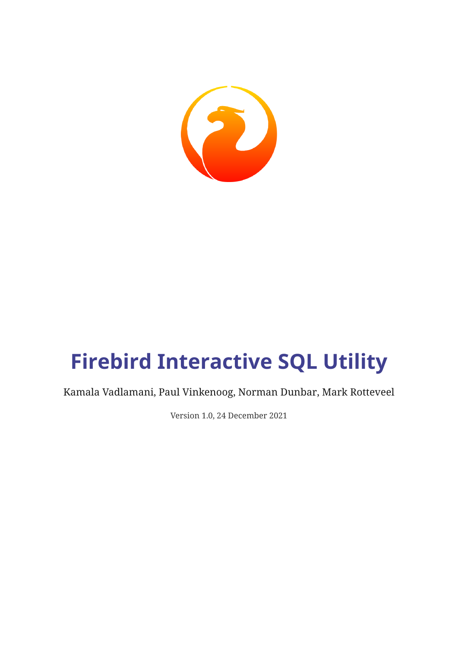

# **Firebird Interactive SQL Utility**

Kamala Vadlamani, Paul Vinkenoog, Norman Dunbar, Mark Rotteveel

Version 1.0, 24 December 2021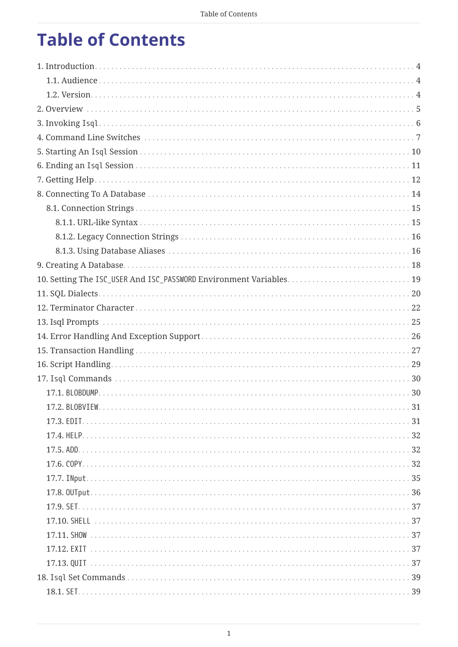## **Table of Contents**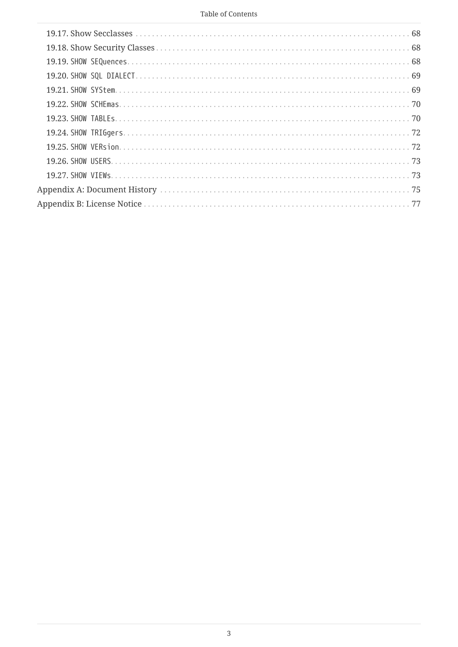#### Table of Contents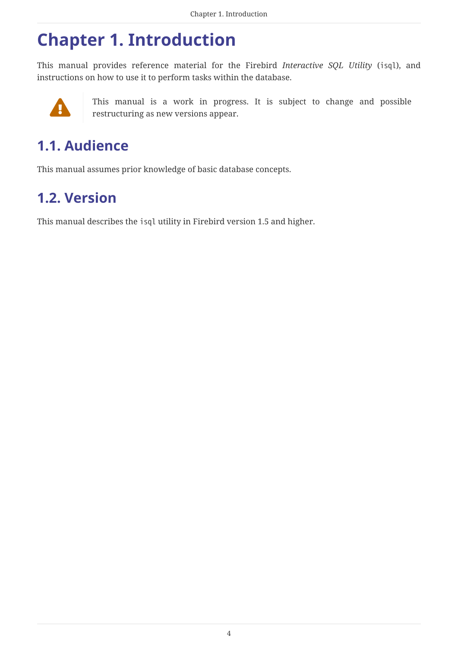### <span id="page-4-0"></span>**Chapter 1. Introduction**

This manual provides reference material for the Firebird *Interactive SQL Utility* (isql), and instructions on how to use it to perform tasks within the database.



This manual is a work in progress. It is subject to change and possible restructuring as new versions annear restructuring as new versions appear.

### <span id="page-4-1"></span>**1.1. Audience**

This manual assumes prior knowledge of basic database concepts.

### <span id="page-4-2"></span>**1.2. Version**

This manual describes the isql utility in Firebird version 1.5 and higher.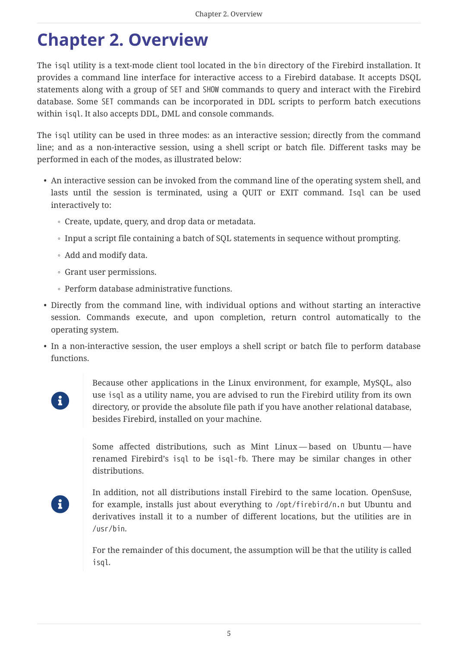### <span id="page-5-0"></span>**Chapter 2. Overview**

The isql utility is a text-mode client tool located in the bin directory of the Firebird installation. It provides a command line interface for interactive access to a Firebird database. It accepts DSQL statements along with a group of SET and SHOW commands to query and interact with the Firebird database. Some SET commands can be incorporated in DDL scripts to perform batch executions within isql. It also accepts DDL, DML and console commands.

The isql utility can be used in three modes: as an interactive session; directly from the command line; and as a non-interactive session, using a shell script or batch file. Different tasks may be performed in each of the modes, as illustrated below:

- An interactive session can be invoked from the command line of the operating system shell, and lasts until the session is terminated, using a QUIT or EXIT command. Isql can be used interactively to:
	- Create, update, query, and drop data or metadata.
	- Input a script file containing a batch of SQL statements in sequence without prompting.
	- Add and modify data.
	- Grant user permissions.
	- Perform database administrative functions.
- Directly from the command line, with individual options and without starting an interactive session. Commands execute, and upon completion, return control automatically to the operating system.
- In a non-interactive session, the user employs a shell script or batch file to perform database functions.



Because other applications in the Linux environment, for example, MySQL, also use isql as a utility name, you are advised to run the Firebird utility from its own directory, or provide the absolute file path if you have another relational database, besides Firebird, installed on your machine.

Some affected distributions, such as Mint Linux — based on Ubuntu — have renamed Firebird's isql to be isql-fb. There may be similar changes in other distributions.

 $\mathbf i$ 

In addition, not all distributions install Firebird to the same location. OpenSuse, for example, installs just about everything to /opt/firebird/n.n but Ubuntu and derivatives install it to a number of different locations, but the utilities are in /usr/bin.

For the remainder of this document, the assumption will be that the utility is called isql.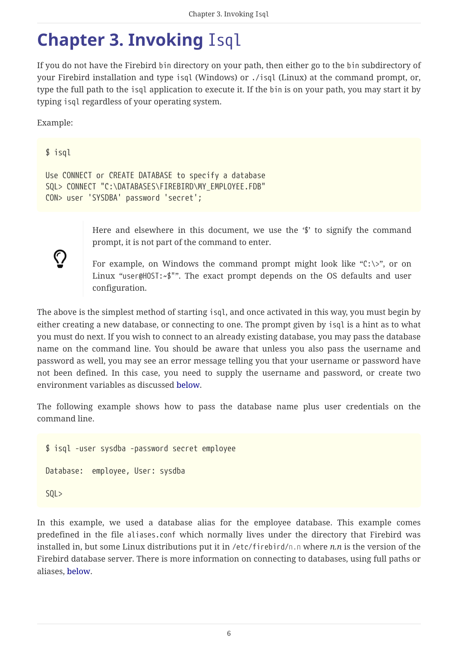### <span id="page-6-0"></span>**Chapter 3. Invoking** Isql

If you do not have the Firebird bin directory on your path, then either go to the bin subdirectory of your Firebird installation and type isql (Windows) or ./isql (Linux) at the command prompt, or, type the full path to the isql application to execute it. If the bin is on your path, you may start it by typing isql regardless of your operating system.

Example:

#### \$ isql

 $\bigcirc$ 

```
Use CONNECT or CREATE DATABASE to specify a database
SQL> CONNECT "C:\DATABASES\FIREBIRD\MY_EMPLOYEE.FDB"
CON> user 'SYSDBA' password 'secret';
```
Here and elsewhere in this document, we use the '\$' to signify the command prompt, it is not part of the command to enter.

For example, on Windows the command prompt might look like " $C:\>$ ", or on Linux "user@HOST:~\$"". The exact prompt depends on the OS defaults and user configuration.

The above is the simplest method of starting isql, and once activated in this way, you must begin by either creating a new database, or connecting to one. The prompt given by isql is a hint as to what you must do next. If you wish to connect to an already existing database, you may pass the database name on the command line. You should be aware that unless you also pass the username and password as well, you may see an error message telling you that your username or password have not been defined. In this case, you need to supply the username and password, or create two environment variables as discussed [below.](#page-19-0)

The following example shows how to pass the database name plus user credentials on the command line.

\$ isql -user sysdba -password secret employee Database: employee, User: sysdba  $SOL$ 

In this example, we used a database alias for the employee database. This example comes predefined in the file aliases.conf which normally lives under the directory that Firebird was installed in, but some Linux distributions put it in /etc/firebird/*n.n* where *n.n* is the version of the Firebird database server. There is more information on connecting to databases, using full paths or aliases, [below](#page-14-0).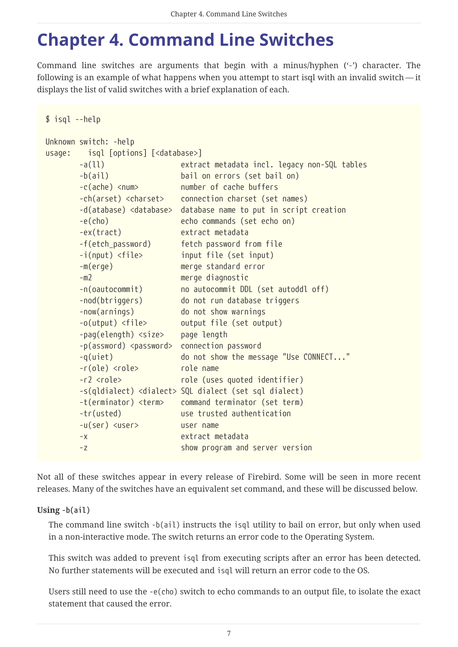## <span id="page-7-0"></span>**Chapter 4. Command Line Switches**

Command line switches are arguments that begin with a minus/hyphen ('-') character. The following is an example of what happens when you attempt to start isql with an invalid switch — it displays the list of valid switches with a brief explanation of each.

```
$ isql --help
Unknown switch: -help
usage: isql [options] [<database>]
        -a(ll) extract metadata incl. legacy non-SQL tables
        -b(ail) bail on errors (set bail on)
        -c(ache) <num> number of cache buffers
        -ch(arset) <charset> connection charset (set names)
        -d(atabase) <database> database name to put in script creation
        -e(cho) echo commands (set echo on)
        -ex(tract) extract metadata
        -f(etch_password) fetch password from file
        -i(nput) <file> input file (set input)
        -m(erge) merge standard error
        -m2 merge diagnostic
        -n(oautocommit) no autocommit DDL (set autoddl off)
        -nod(btriggers) do not run database triggers
        -now(arnings) do not show warnings
        -o(utput) <file> output file (set output)
        -pag(elength) <size> page length
        -p(assword) <password> connection password
        -q(uiet) do not show the message "Use CONNECT..."
        -r(ole) <role> role name
        -r2 <role> role (uses quoted identifier)
        -s(qldialect) <dialect> SQL dialect (set sql dialect)
        -t(erminator) <term> command terminator (set term)
        -tr(usted) use trusted authentication
        -u(ser) <user> user name
        -x extract metadata
        -z show program and server version
```
Not all of these switches appear in every release of Firebird. Some will be seen in more recent releases. Many of the switches have an equivalent set command, and these will be discussed below.

### **Using -b(ail)**

The command line switch -b(ail) instructs the isql utility to bail on error, but only when used in a non-interactive mode. The switch returns an error code to the Operating System.

This switch was added to prevent isql from executing scripts after an error has been detected. No further statements will be executed and isql will return an error code to the OS.

Users still need to use the -e(cho) switch to echo commands to an output file, to isolate the exact statement that caused the error.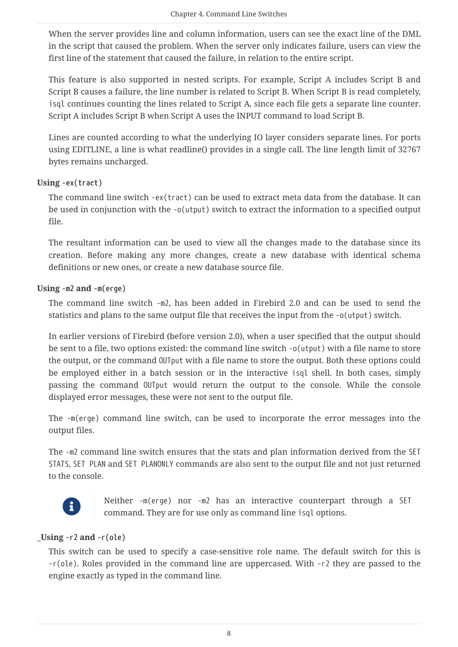When the server provides line and column information, users can see the exact line of the DML in the script that caused the problem. When the server only indicates failure, users can view the first line of the statement that caused the failure, in relation to the entire script.

This feature is also supported in nested scripts. For example, Script A includes Script B and Script B causes a failure, the line number is related to Script B. When Script B is read completely, isql continues counting the lines related to Script A, since each file gets a separate line counter. Script A includes Script B when Script A uses the INPUT command to load Script B.

Lines are counted according to what the underlying IO layer considers separate lines. For ports using EDITLINE, a line is what readline() provides in a single call. The line length limit of 32767 bytes remains uncharged.

### **Using -ex(tract)**

The command line switch -ex(tract) can be used to extract meta data from the database. It can be used in conjunction with the -o(utput) switch to extract the information to a specified output file.

The resultant information can be used to view all the changes made to the database since its creation. Before making any more changes, create a new database with identical schema definitions or new ones, or create a new database source file.

### **Using -m2 and -m(erge)**

The command line switch -m2, has been added in Firebird 2.0 and can be used to send the statistics and plans to the same output file that receives the input from the -o(utput) switch.

In earlier versions of Firebird (before version 2.0), when a user specified that the output should be sent to a file, two options existed: the command line switch -o(utput) with a file name to store the output, or the command OUTput with a file name to store the output. Both these options could be employed either in a batch session or in the interactive isql shell. In both cases, simply passing the command OUTput would return the output to the console. While the console displayed error messages, these were not sent to the output file.

The -m(erge) command line switch, can be used to incorporate the error messages into the output files.

The -m2 command line switch ensures that the stats and plan information derived from the SET STATS, SET PLAN and SET PLANONLY commands are also sent to the output file and not just returned to the console.



Neither -m(erge) nor -m2 has an interactive counterpart through a SET command. They are for use only as command line isql options.

### **\_Using -r2 and -r(ole)**

This switch can be used to specify a case-sensitive role name. The default switch for this is -r(ole). Roles provided in the command line are uppercased. With -r2 they are passed to the engine exactly as typed in the command line.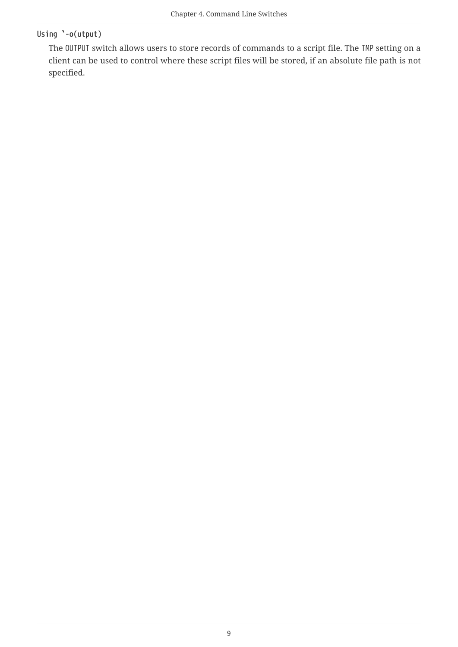### **Using `-o(utput)**

The OUTPUT switch allows users to store records of commands to a script file. The TMP setting on a client can be used to control where these script files will be stored, if an absolute file path is not specified.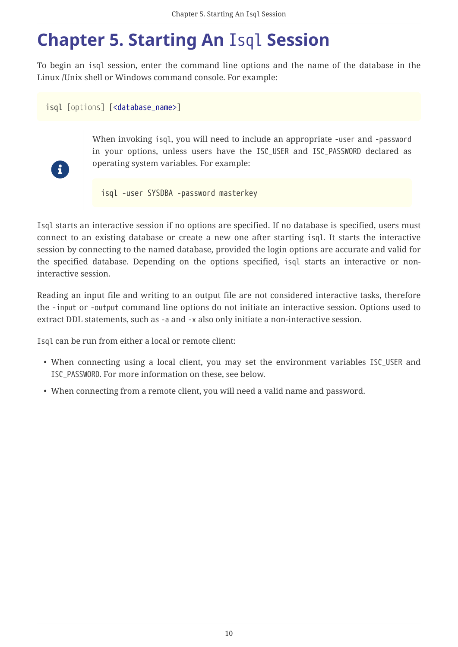## <span id="page-10-0"></span>**Chapter 5. Starting An** Isql **Session**

To begin an isql session, enter the command line options and the name of the database in the Linux /Unix shell or Windows command console. For example:

isql [*options*] [\[<database\\_name>\]](#page-15-2)



When invoking isql, you will need to include an appropriate -user and -password in your options, unless users have the ISC\_USER and ISC\_PASSWORD declared as operating system variables. For example:

isql -user SYSDBA -password masterkey

Isql starts an interactive session if no options are specified. If no database is specified, users must connect to an existing database or create a new one after starting isql. It starts the interactive session by connecting to the named database, provided the login options are accurate and valid for the specified database. Depending on the options specified, isql starts an interactive or noninteractive session.

Reading an input file and writing to an output file are not considered interactive tasks, therefore the -input or -output command line options do not initiate an interactive session. Options used to extract DDL statements, such as -a and -x also only initiate a non-interactive session.

Isql can be run from either a local or remote client:

- When connecting using a local client, you may set the environment variables ISC\_USER and ISC\_PASSWORD. For more information on these, see below.
- When connecting from a remote client, you will need a valid name and password.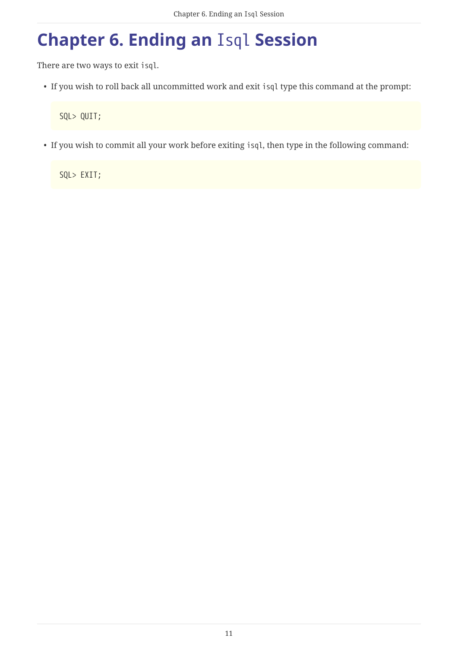## <span id="page-11-0"></span>**Chapter 6. Ending an** Isql **Session**

There are two ways to exit isql.

• If you wish to roll back all uncommitted work and exit isql type this command at the prompt:

SQL> QUIT;

• If you wish to commit all your work before exiting isql, then type in the following command:

SQL> EXIT;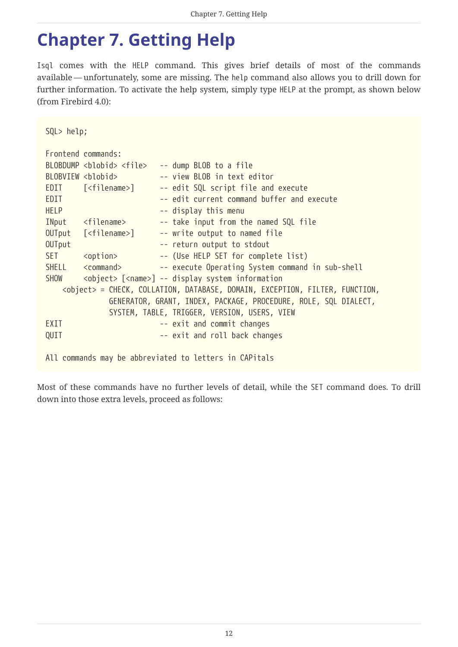## <span id="page-12-0"></span>**Chapter 7. Getting Help**

Isql comes with the HELP command. This gives brief details of most of the commands available — unfortunately, some are missing. The help command also allows you to drill down for further information. To activate the help system, simply type HELP at the prompt, as shown below (from Firebird 4.0):

| SQL> help;  |                               |                                                                                      |
|-------------|-------------------------------|--------------------------------------------------------------------------------------|
|             | Frontend commands:            |                                                                                      |
|             |                               | BLOBDUMP <blobid> <file> -- dump BLOB to a file</file></blobid>                      |
|             | BLOBVIEW <blobid></blobid>    | -- view BLOB in text editor                                                          |
|             | EDIT [ <filename>]</filename> | -- edit SQL script file and execute                                                  |
| EDIT        |                               | -- edit current command buffer and execute                                           |
| <b>HELP</b> |                               | -- display this menu                                                                 |
|             | INput <filename></filename>   | -- take input from the named SQL file                                                |
|             |                               | OUTput [ <filename>] -- write output to named file</filename>                        |
| OUTput      |                               | -- return output to stdout                                                           |
| <b>SET</b>  |                               | <option> -- (Use HELP SET for complete list)</option>                                |
|             |                               | SHELL <command/> -- execute Operating System command in sub-shell                    |
| SHOW        |                               | <object> [<name>] -- display system information</name></object>                      |
|             |                               | <object> = CHECK, COLLATION, DATABASE, DOMAIN, EXCEPTION, FILTER, FUNCTION,</object> |
|             |                               | GENERATOR, GRANT, INDEX, PACKAGE, PROCEDURE, ROLE, SQL DIALECT,                      |
|             |                               | SYSTEM, TABLE, TRIGGER, VERSION, USERS, VIEW                                         |
| EXIT        |                               | -- exit and commit changes                                                           |
| QUIT        |                               | -- exit and roll back changes                                                        |
|             |                               |                                                                                      |
|             |                               | All commands may be abbreviated to letters in CAPitals                               |

Most of these commands have no further levels of detail, while the SET command does. To drill down into those extra levels, proceed as follows: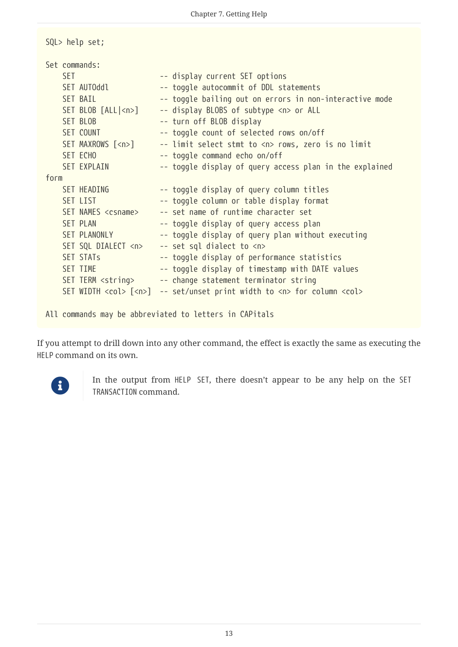| SQL> help set;              |                                                                                   |
|-----------------------------|-----------------------------------------------------------------------------------|
| Set commands:               |                                                                                   |
| <b>SET</b>                  | -- display current SET options                                                    |
| SET AUTOddl                 | -- toggle autocommit of DDL statements                                            |
| <b>SET BAIL</b>             | -- toggle bailing out on errors in non-interactive mode                           |
| $SET BLOB [ALL n$ ]         | -- display BLOBS of subtype <n> or ALL</n>                                        |
| SET BLOB                    | -- turn off BLOB display                                                          |
| SET COUNT                   | -- toggle count of selected rows on/off                                           |
| SET MAXROWS [ <n>]</n>      | -- limit select stmt to <n> rows, zero is no limit</n>                            |
| SET ECHO                    | -- toggle command echo on/off                                                     |
| <b>SET EXPLAIN</b>          | -- toggle display of query access plan in the explained                           |
| form                        |                                                                                   |
| SET HEADING                 | -- toggle display of query column titles                                          |
| SET LIST                    | -- toggle column or table display format                                          |
| SET NAMES <csname></csname> | -- set name of runtime character set                                              |
| <b>SET PLAN</b>             | -- toggle display of query access plan                                            |
| SET PLANONLY                | -- toggle display of query plan without executing                                 |
| SET SQL DIALECT <n></n>     | -- set sql dialect to <n></n>                                                     |
| <b>SET STATs</b>            | -- toggle display of performance statistics                                       |
| SET TIME                    | -- toggle display of timestamp with DATE values                                   |
| SET TERM <string></string>  | -- change statement terminator string                                             |
|                             | SET WIDTH <col/> [ <n>] -- set/unset print width to <n> for column <col/></n></n> |
|                             |                                                                                   |
|                             | All commands may be abbreviated to letters in CAPitals                            |

If you attempt to drill down into any other command, the effect is exactly the same as executing the HELP command on its own.



In the output from HELP SET, there doesn't appear to be any help on the SET TRANSACTION command.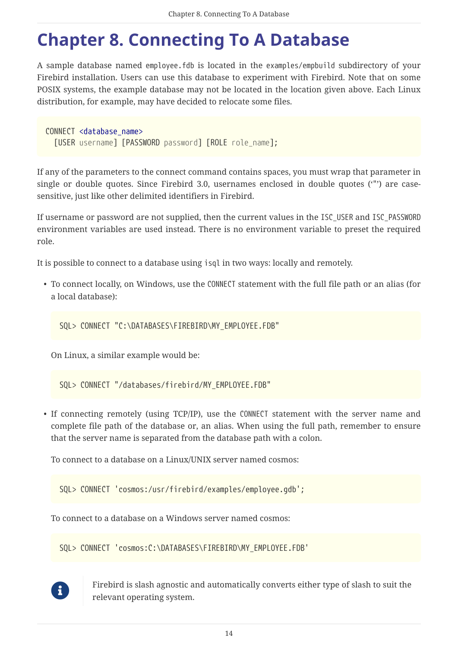## <span id="page-14-0"></span>**Chapter 8. Connecting To A Database**

A sample database named employee.fdb is located in the examples/empbuild subdirectory of your Firebird installation. Users can use this database to experiment with Firebird. Note that on some POSIX systems, the example database may not be located in the location given above. Each Linux distribution, for example, may have decided to relocate some files.

CONNECT [<database\\_name>](#page-15-2) [USER *username*] [PASSWORD *password*] [ROLE *role\_name*];

If any of the parameters to the connect command contains spaces, you must wrap that parameter in single or double quotes. Since Firebird 3.0, usernames enclosed in double quotes ('"') are casesensitive, just like other delimited identifiers in Firebird.

If username or password are not supplied, then the current values in the ISC\_USER and ISC\_PASSWORD environment variables are used instead. There is no environment variable to preset the required role.

It is possible to connect to a database using isql in two ways: locally and remotely.

• To connect locally, on Windows, use the CONNECT statement with the full file path or an alias (for a local database):

SQL> CONNECT "C:\DATABASES\FIREBIRD\MY\_EMPLOYEE.FDB"

On Linux, a similar example would be:

SQL> CONNECT "/databases/firebird/MY\_EMPLOYEE.FDB"

• If connecting remotely (using TCP/IP), use the CONNECT statement with the server name and complete file path of the database or, an alias. When using the full path, remember to ensure that the server name is separated from the database path with a colon.

To connect to a database on a Linux/UNIX server named cosmos:

SQL> CONNECT 'cosmos:/usr/firebird/examples/employee.gdb';

To connect to a database on a Windows server named cosmos:

SQL> CONNECT 'cosmos:C:\DATABASES\FIREBIRD\MY\_EMPLOYEE.FDB'



Firebird is slash agnostic and automatically converts either type of slash to suit the relevant operating system.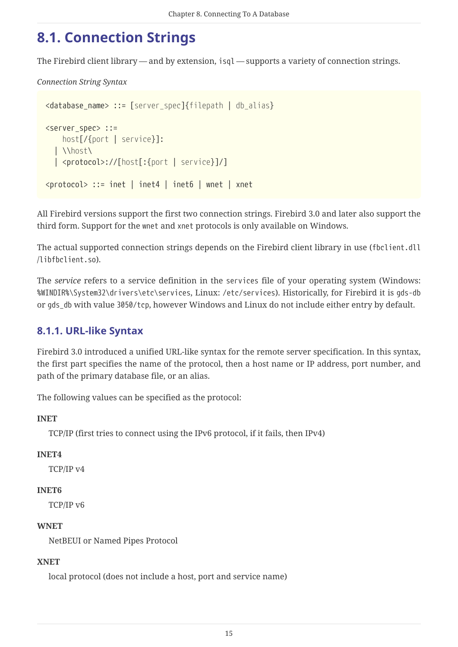### <span id="page-15-0"></span>**8.1. Connection Strings**

The Firebird client library — and by extension, isql — supports a variety of connection strings.

<span id="page-15-2"></span>*Connection String Syntax*

```
<database_name> ::= [server_spec]{filepath | db_alias}
<server_spec> ::=
      host[/{port | service}]:
    | \\host\
    | <protocol>://[host[:{port | service}]/]
<protocol> ::= inet | inet4 | inet6 | wnet | xnet
```
All Firebird versions support the first two connection strings. Firebird 3.0 and later also support the third form. Support for the wnet and xnet protocols is only available on Windows.

The actual supported connection strings depends on the Firebird client library in use (fbclient.dll /libfbclient.so).

The *service* refers to a service definition in the services file of your operating system (Windows: %WINDIR%\System32\drivers\etc\services, Linux: /etc/services). Historically, for Firebird it is gds-db or gds\_db with value 3050/tcp, however Windows and Linux do not include either entry by default.

### <span id="page-15-1"></span>**8.1.1. URL-like Syntax**

Firebird 3.0 introduced a unified URL-like syntax for the remote server specification. In this syntax, the first part specifies the name of the protocol, then a host name or IP address, port number, and path of the primary database file, or an alias.

The following values can be specified as the protocol:

### **INET**

TCP/IP (first tries to connect using the IPv6 protocol, if it fails, then IPv4)

### **INET4**

TCP/IP v4

### **INET6**

TCP/IP v6

### **WNET**

NetBEUI or Named Pipes Protocol

#### **XNET**

local protocol (does not include a host, port and service name)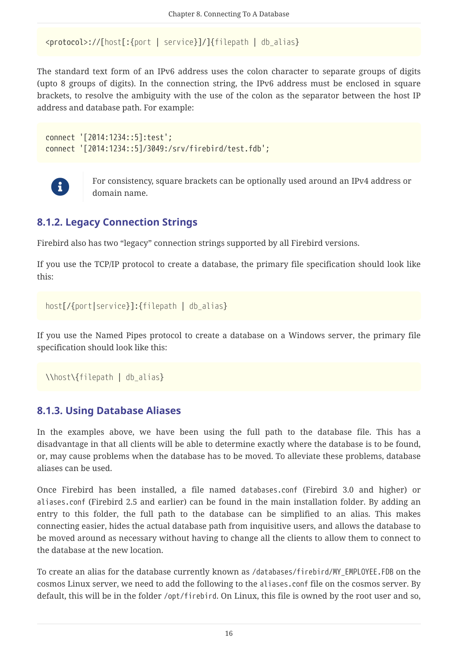```
<protocol>://[host[:{port | service}]/]{filepath | db_alias}
```
The standard text form of an IPv6 address uses the colon character to separate groups of digits (upto 8 groups of digits). In the connection string, the IPv6 address must be enclosed in square brackets, to resolve the ambiguity with the use of the colon as the separator between the host IP address and database path. For example:

```
connect '[2014:1234::5]:test';
connect '[2014:1234::5]/3049:/srv/firebird/test.fdb';
```


For consistency, square brackets can be optionally used around an IPv4 address or domain name.

### <span id="page-16-0"></span>**8.1.2. Legacy Connection Strings**

Firebird also has two "legacy" connection strings supported by all Firebird versions.

If you use the TCP/IP protocol to create a database, the primary file specification should look like this:

*host*[/{*port*|*service*}]:{*filepath* | *db\_alias*}

If you use the Named Pipes protocol to create a database on a Windows server, the primary file specification should look like this:

```
\\host\{filepath | db_alias}
```
### <span id="page-16-1"></span>**8.1.3. Using Database Aliases**

In the examples above, we have been using the full path to the database file. This has a disadvantage in that all clients will be able to determine exactly where the database is to be found, or, may cause problems when the database has to be moved. To alleviate these problems, database aliases can be used.

Once Firebird has been installed, a file named databases.conf (Firebird 3.0 and higher) or aliases.conf (Firebird 2.5 and earlier) can be found in the main installation folder. By adding an entry to this folder, the full path to the database can be simplified to an alias. This makes connecting easier, hides the actual database path from inquisitive users, and allows the database to be moved around as necessary without having to change all the clients to allow them to connect to the database at the new location.

To create an alias for the database currently known as /databases/firebird/MY\_EMPLOYEE.FDB on the cosmos Linux server, we need to add the following to the aliases.conf file on the cosmos server. By default, this will be in the folder /opt/firebird. On Linux, this file is owned by the root user and so,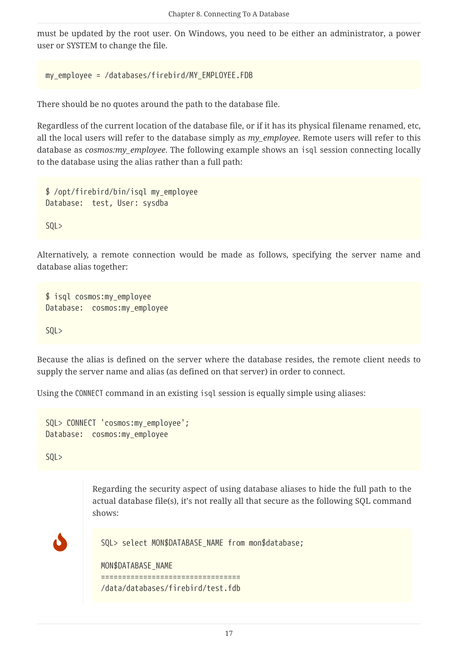must be updated by the root user. On Windows, you need to be either an administrator, a power user or SYSTEM to change the file.

```
my_employee = /databases/firebird/MY_EMPLOYEE.FDB
```
There should be no quotes around the path to the database file.

Regardless of the current location of the database file, or if it has its physical filename renamed, etc, all the local users will refer to the database simply as *my\_employee*. Remote users will refer to this database as *cosmos:my\_employee*. The following example shows an isql session connecting locally to the database using the alias rather than a full path:

\$ /opt/firebird/bin/isql my\_employee Database: test, User: sysdba SQL>

Alternatively, a remote connection would be made as follows, specifying the server name and database alias together:

```
$ isql cosmos:my_employee
Database: cosmos:my_employee
SQL>
```
Because the alias is defined on the server where the database resides, the remote client needs to supply the server name and alias (as defined on that server) in order to connect.

Using the CONNECT command in an existing isql session is equally simple using aliases:

```
SQL> CONNECT 'cosmos:my_employee';
Database: cosmos:my_employee
```
SQL>

Regarding the security aspect of using database aliases to hide the full path to the actual database file(s), it's not really all that secure as the following SQL command shows:

```
J
           SQL> select MON$DATABASE_NAME from mon$database;
           MON$DATABASE_NAME
           =================================
           /data/databases/firebird/test.fdb
```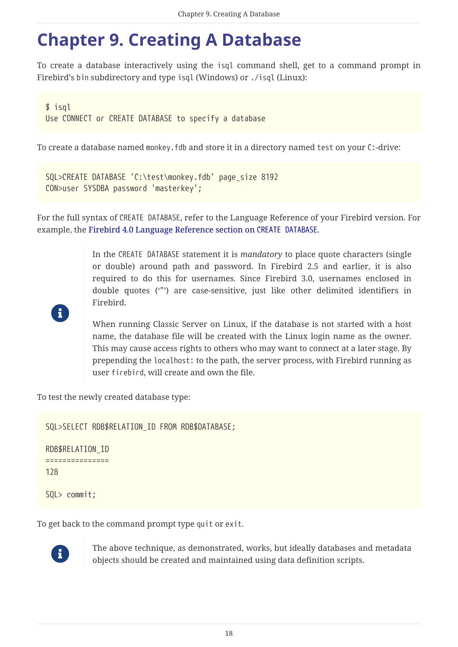## <span id="page-18-0"></span>**Chapter 9. Creating A Database**

To create a database interactively using the isql command shell, get to a command prompt in Firebird's bin subdirectory and type isql (Windows) or ./isql (Linux):

```
$ isql
Use CONNECT or CREATE DATABASE to specify a database
```
To create a database named monkey.fdb and store it in a directory named test on your C:-drive:

```
SQL>CREATE DATABASE 'C:\test\monkey.fdb' page_size 8192
CON>user SYSDBA password 'masterkey';
```
For the full syntax of CREATE DATABASE, refer to the Language Reference of your Firebird version. For example, the [Firebird 4.0 Language Reference section on](https://www.firebirdsql.org/file/documentation/html/en/refdocs/fblangref40/firebird-40-language-reference.html#fblangref40-ddl-db-create) [CREATE DATABASE](https://www.firebirdsql.org/file/documentation/html/en/refdocs/fblangref40/firebird-40-language-reference.html#fblangref40-ddl-db-create).

> In the CREATE DATABASE statement it is *mandatory* to place quote characters (single or double) around path and password. In Firebird 2.5 and earlier, it is also required to do this for usernames. Since Firebird 3.0, usernames enclosed in double quotes ('"') are case-sensitive, just like other delimited identifiers in Firebird.



When running Classic Server on Linux, if the database is not started with a host name, the database file will be created with the Linux login name as the owner. This may cause access rights to others who may want to connect at a later stage. By prepending the localhost: to the path, the server process, with Firebird running as user firebird, will create and own the file.

To test the newly created database type:

SQL>SELECT RDB\$RELATION\_ID FROM RDB\$DATABASE;

RDB\$RELATION\_ID =============== 128

SQL> commit;

To get back to the command prompt type quit or exit.



The above technique, as demonstrated, works, but ideally databases and metadata objects should be created and maintained using data definition scripts.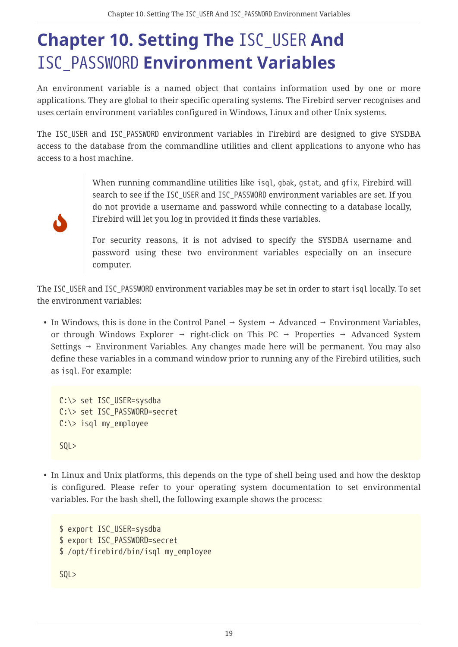## <span id="page-19-0"></span>**Chapter 10. Setting The** ISC\_USER **And** ISC\_PASSWORD **Environment Variables**

An environment variable is a named object that contains information used by one or more applications. They are global to their specific operating systems. The Firebird server recognises and uses certain environment variables configured in Windows, Linux and other Unix systems.

The ISC\_USER and ISC\_PASSWORD environment variables in Firebird are designed to give SYSDBA access to the database from the commandline utilities and client applications to anyone who has access to a host machine.

J

When running commandline utilities like isql, gbak, gstat, and gfix, Firebird will search to see if the ISC\_USER and ISC\_PASSWORD environment variables are set. If you do not provide a username and password while connecting to a database locally, Firebird will let you log in provided it finds these variables.

For security reasons, it is not advised to specify the SYSDBA username and password using these two environment variables especially on an insecure computer.

The ISC\_USER and ISC\_PASSWORD environment variables may be set in order to start isql locally. To set the environment variables:

• In Windows, this is done in the Control Panel  $\rightarrow$  System  $\rightarrow$  Advanced  $\rightarrow$  Environment Variables, or through Windows Explorer  $\rightarrow$  right-click on This PC  $\rightarrow$  Properties  $\rightarrow$  Advanced System Settings  $\rightarrow$  Environment Variables. Any changes made here will be permanent. You may also define these variables in a command window prior to running any of the Firebird utilities, such as isql. For example:

```
C:\> set ISC USER=sysdba
C:\> set ISC_PASSWORD=secret
C:\> isql my_employee
SQL>
```
• In Linux and Unix platforms, this depends on the type of shell being used and how the desktop is configured. Please refer to your operating system documentation to set environmental variables. For the bash shell, the following example shows the process:

```
$ export ISC_USER=sysdba
$ export ISC_PASSWORD=secret
$ /opt/firebird/bin/isql my_employee
SQL>
```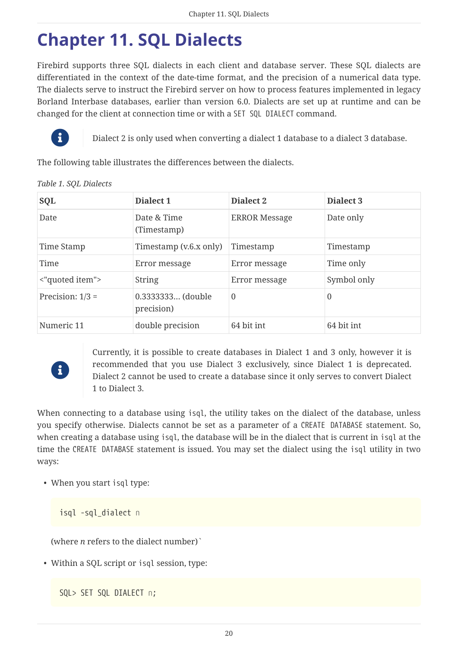## <span id="page-20-0"></span>**Chapter 11. SQL Dialects**

Firebird supports three SQL dialects in each client and database server. These SQL dialects are differentiated in the context of the date-time format, and the precision of a numerical data type. The dialects serve to instruct the Firebird server on how to process features implemented in legacy Borland Interbase databases, earlier than version 6.0. Dialects are set up at runtime and can be changed for the client at connection time or with a SET SQL DIALECT command.



Dialect 2 is only used when converting a dialect 1 database to a dialect 3 database.

The following table illustrates the differences between the dialects.

| SQL                | Dialect 1                       | Dialect 2            | Dialect <sub>3</sub> |
|--------------------|---------------------------------|----------------------|----------------------|
| Date               | Date & Time<br>(Timestamp)      | <b>ERROR Message</b> | Date only            |
| Time Stamp         | Timestamp (v.6.x only)          | Timestamp            | Timestamp            |
| Time               | Error message                   | Error message        | Time only            |
| <"quoted item">    | <b>String</b>                   | Error message        | Symbol only          |
| Precision: $1/3 =$ | 0.3333333 (double<br>precision) | $\theta$             | 0                    |
| Numeric 11         | double precision                | 64 bit int           | 64 bit int           |

#### *Table 1. SQL Dialects*



Currently, it is possible to create databases in Dialect 1 and 3 only, however it is recommended that you use Dialect 3 exclusively, since Dialect 1 is deprecated. Dialect 2 cannot be used to create a database since it only serves to convert Dialect 1 to Dialect 3.

When connecting to a database using isql, the utility takes on the dialect of the database, unless you specify otherwise. Dialects cannot be set as a parameter of a CREATE DATABASE statement. So, when creating a database using isql, the database will be in the dialect that is current in isql at the time the CREATE DATABASE statement is issued. You may set the dialect using the isql utility in two ways:

• When you start isql type:

isql -sql\_dialect *n*

(where *n* refers to the dialect number)`

• Within a SQL script or isql session, type:

```
SQL> SET SQL DIALECT n;
```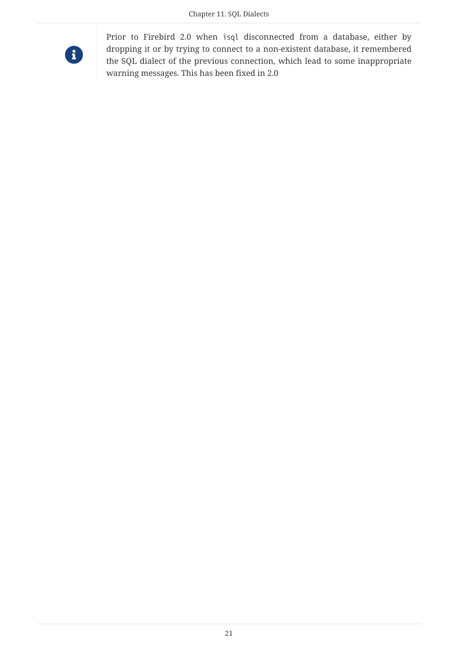

Prior to Firebird 2.0 when isql disconnected from a database, either by dropping it or by trying to connect to a non-existent database, it remembered the SQL dialect of the previous connection, which lead to some inappropriate warning messages. This has been fixed in 2.0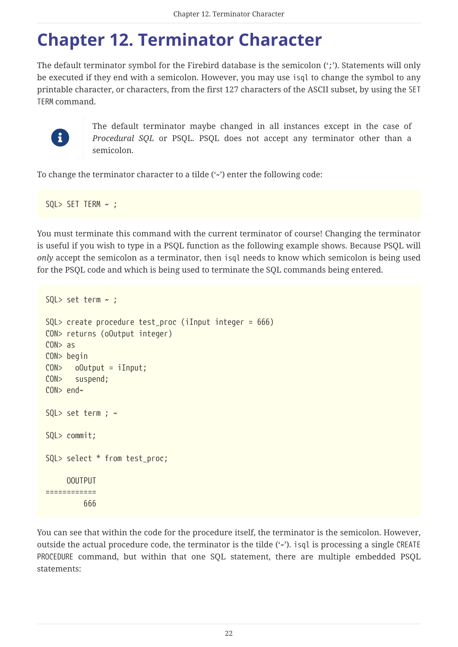### <span id="page-22-0"></span>**Chapter 12. Terminator Character**

The default terminator symbol for the Firebird database is the semicolon (';'). Statements will only be executed if they end with a semicolon. However, you may use isql to change the symbol to any printable character, or characters, from the first 127 characters of the ASCII subset, by using the SET TERM command.



The default terminator maybe changed in all instances except in the case of *Procedural SQL* or PSQL. PSQL does not accept any terminator other than a semicolon.

To change the terminator character to a tilde  $(\cdot)$  enter the following code:

SQL> SET TERM  $\sim$  ;

You must terminate this command with the current terminator of course! Changing the terminator is useful if you wish to type in a PSQL function as the following example shows. Because PSQL will *only* accept the semicolon as a terminator, then isql needs to know which semicolon is being used for the PSQL code and which is being used to terminate the SQL commands being entered.

```
SQL> set term ~ ;
SQL> create procedure test proc (iInput integer = 666)
CON> returns (oOutput integer)
CON> as
CON> begin
CON> oOutput = iInput;
CON> suspend;
CON> end~
SQL> set term ; \simSQL> commit;
SQL> select * from test_proc;
       OOUTPUT
============
           666
```
You can see that within the code for the procedure itself, the terminator is the semicolon. However, outside the actual procedure code, the terminator is the tilde  $(\cdot)$ , isql is processing a single CREATE PROCEDURE command, but within that one SQL statement, there are multiple embedded PSQL statements: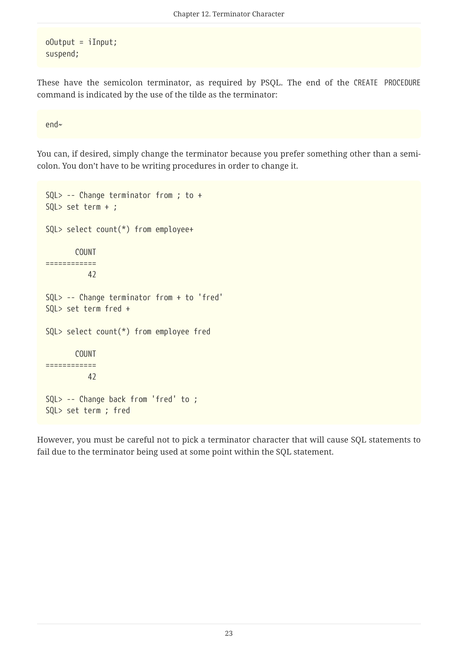$oOutput = iInput;$ suspend;

These have the semicolon terminator, as required by PSQL. The end of the CREATE PROCEDURE command is indicated by the use of the tilde as the terminator:

end~

You can, if desired, simply change the terminator because you prefer something other than a semicolon. You don't have to be writing procedures in order to change it.

```
SQL> -- Change terminator from ; to +
SQL> set term + ;
SQL> select count(*) from employee+
         COUNT
============
            42
SQL> -- Change terminator from + to 'fred'
SQL> set term fred +
SQL> select count(*) from employee fred
         COUNT
============
            42
SQL> -- Change back from 'fred' to ;
SQL> set term ; fred
```
However, you must be careful not to pick a terminator character that will cause SQL statements to fail due to the terminator being used at some point within the SQL statement.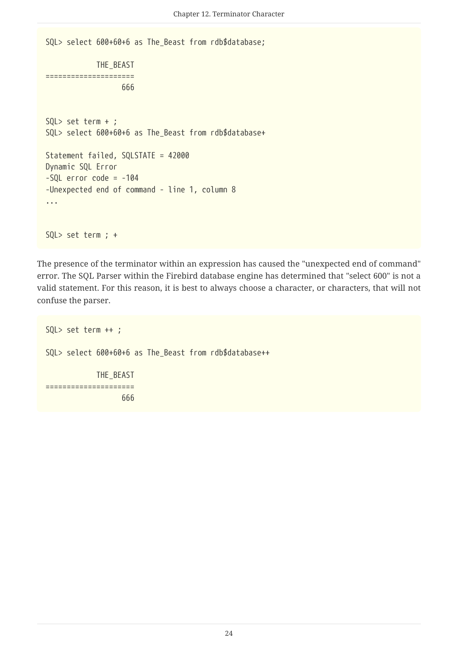```
SQL> select 600+60+6 as The_Beast from rdb$database;
              THE_BEAST
=====================
                    666
SQL> set term + ;
SQL> select 600+60+6 as The_Beast from rdb$database+
Statement failed, SQLSTATE = 42000
Dynamic SQL Error
-SQL error code = -104-Unexpected end of command - line 1, column 8
...
SQL> set term ; +
```
The presence of the terminator within an expression has caused the "unexpected end of command" error. The SQL Parser within the Firebird database engine has determined that "select 600" is not a valid statement. For this reason, it is best to always choose a character, or characters, that will not confuse the parser.

```
SQL> set term ++ ;
SQL> select 600+60+6 as The_Beast from rdb$database++
              THE_BEAST
=====================
                     666
```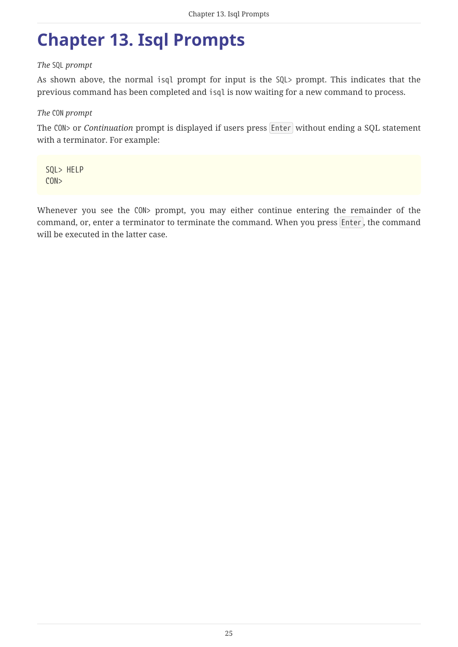## <span id="page-25-0"></span>**Chapter 13. Isql Prompts**

#### *The* SQL *prompt*

As shown above, the normal isql prompt for input is the SQL> prompt. This indicates that the previous command has been completed and isql is now waiting for a new command to process.

#### *The* CON *prompt*

The CON> or *Continuation* prompt is displayed if users press Enter without ending a SQL statement with a terminator. For example:

SQL> HELP CON>

Whenever you see the CON> prompt, you may either continue entering the remainder of the command, or, enter a terminator to terminate the command. When you press Enter , the command will be executed in the latter case.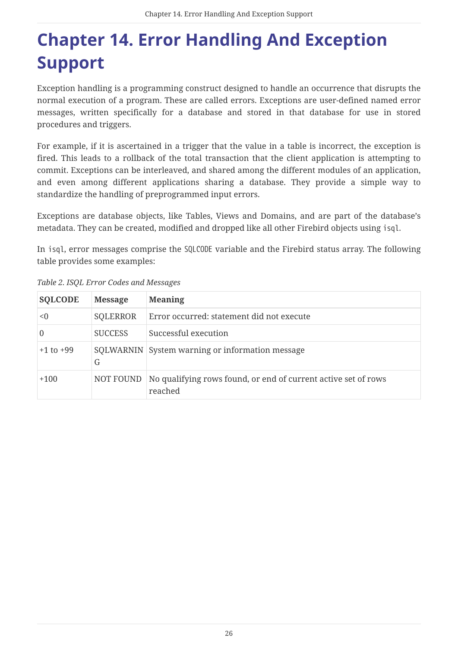## <span id="page-26-0"></span>**Chapter 14. Error Handling And Exception Support**

Exception handling is a programming construct designed to handle an occurrence that disrupts the normal execution of a program. These are called errors. Exceptions are user-defined named error messages, written specifically for a database and stored in that database for use in stored procedures and triggers.

For example, if it is ascertained in a trigger that the value in a table is incorrect, the exception is fired. This leads to a rollback of the total transaction that the client application is attempting to commit. Exceptions can be interleaved, and shared among the different modules of an application, and even among different applications sharing a database. They provide a simple way to standardize the handling of preprogrammed input errors.

Exceptions are database objects, like Tables, Views and Domains, and are part of the database's metadata. They can be created, modified and dropped like all other Firebird objects using isql.

In isql, error messages comprise the SQLCODE variable and the Firebird status array. The following table provides some examples:

| <b>SQLCODE</b> | <b>Message</b> | <b>Meaning</b>                                                            |
|----------------|----------------|---------------------------------------------------------------------------|
| < 0            | SQLERROR       | Error occurred: statement did not execute                                 |
| 0              | <b>SUCCESS</b> | Successful execution                                                      |
| $+1$ to $+99$  | G              | SQLWARNIN System warning or information message                           |
| $+100$         | NOT FOUND      | No qualifying rows found, or end of current active set of rows<br>reached |

*Table 2. ISQL Error Codes and Messages*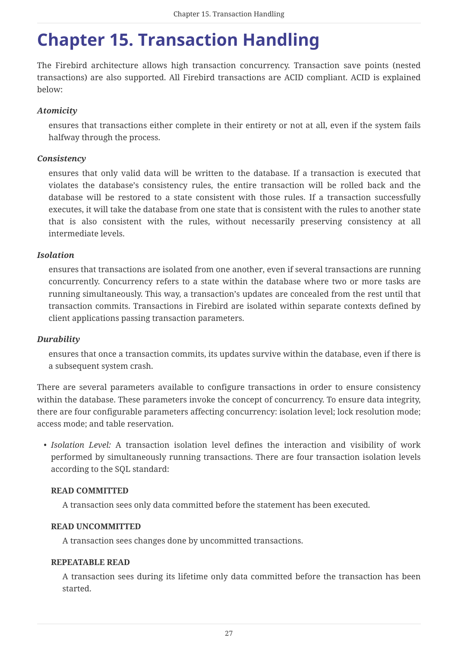### <span id="page-27-0"></span>**Chapter 15. Transaction Handling**

The Firebird architecture allows high transaction concurrency. Transaction save points (nested transactions) are also supported. All Firebird transactions are ACID compliant. ACID is explained below:

### *Atomicity*

ensures that transactions either complete in their entirety or not at all, even if the system fails halfway through the process.

#### *Consistency*

ensures that only valid data will be written to the database. If a transaction is executed that violates the database's consistency rules, the entire transaction will be rolled back and the database will be restored to a state consistent with those rules. If a transaction successfully executes, it will take the database from one state that is consistent with the rules to another state that is also consistent with the rules, without necessarily preserving consistency at all intermediate levels.

#### *Isolation*

ensures that transactions are isolated from one another, even if several transactions are running concurrently. Concurrency refers to a state within the database where two or more tasks are running simultaneously. This way, a transaction's updates are concealed from the rest until that transaction commits. Transactions in Firebird are isolated within separate contexts defined by client applications passing transaction parameters.

#### *Durability*

ensures that once a transaction commits, its updates survive within the database, even if there is a subsequent system crash.

There are several parameters available to configure transactions in order to ensure consistency within the database. These parameters invoke the concept of concurrency. To ensure data integrity, there are four configurable parameters affecting concurrency: isolation level; lock resolution mode; access mode; and table reservation.

• *Isolation Level:* A transaction isolation level defines the interaction and visibility of work performed by simultaneously running transactions. There are four transaction isolation levels according to the SQL standard:

#### **READ COMMITTED**

A transaction sees only data committed before the statement has been executed.

#### **READ UNCOMMITTED**

A transaction sees changes done by uncommitted transactions.

#### **REPEATABLE READ**

A transaction sees during its lifetime only data committed before the transaction has been started.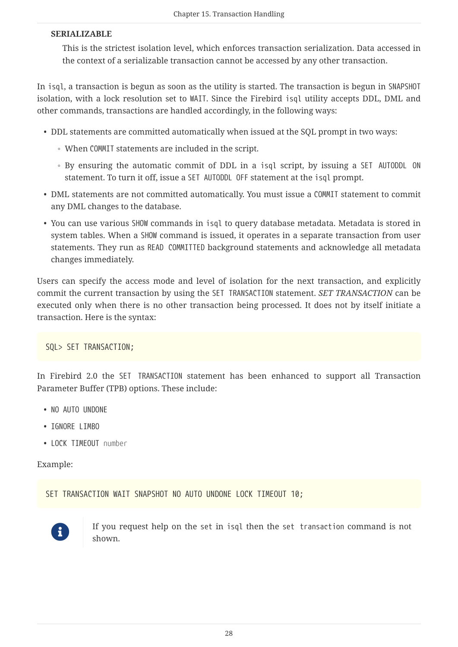#### **SERIALIZABLE**

This is the strictest isolation level, which enforces transaction serialization. Data accessed in the context of a serializable transaction cannot be accessed by any other transaction.

In isql, a transaction is begun as soon as the utility is started. The transaction is begun in SNAPSHOT isolation, with a lock resolution set to WAIT. Since the Firebird isql utility accepts DDL, DML and other commands, transactions are handled accordingly, in the following ways:

- DDL statements are committed automatically when issued at the SQL prompt in two ways:
	- When COMMIT statements are included in the script.
	- By ensuring the automatic commit of DDL in a isql script, by issuing a SET AUTODDL ON statement. To turn it off, issue a SET AUTODDL OFF statement at the isql prompt.
- DML statements are not committed automatically. You must issue a COMMIT statement to commit any DML changes to the database.
- You can use various SHOW commands in isql to query database metadata. Metadata is stored in system tables. When a SHOW command is issued, it operates in a separate transaction from user statements. They run as READ COMMITTED background statements and acknowledge all metadata changes immediately.

Users can specify the access mode and level of isolation for the next transaction, and explicitly commit the current transaction by using the SET TRANSACTION statement. *SET TRANSACTION* can be executed only when there is no other transaction being processed. It does not by itself initiate a transaction. Here is the syntax:

SQL> SET TRANSACTION;

In Firebird 2.0 the SET TRANSACTION statement has been enhanced to support all Transaction Parameter Buffer (TPB) options. These include:

- NO AUTO UNDONE
- IGNORE LIMBO
- LOCK TIMEOUT *number*

Example:

```
SET TRANSACTION WAIT SNAPSHOT NO AUTO UNDONE LOCK TIMEOUT 10:
```


If you request help on the set in isql then the set transaction command is not shown.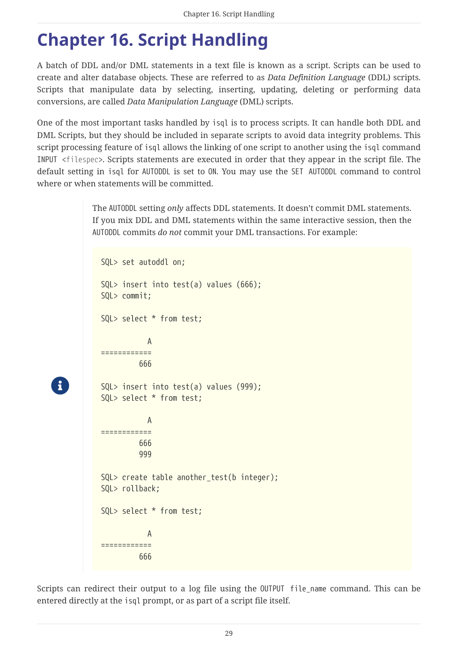## <span id="page-29-0"></span>**Chapter 16. Script Handling**

A batch of DDL and/or DML statements in a text file is known as a script. Scripts can be used to create and alter database objects. These are referred to as *Data Definition Language* (DDL) scripts. Scripts that manipulate data by selecting, inserting, updating, deleting or performing data conversions, are called *Data Manipulation Language* (DML) scripts.

One of the most important tasks handled by isql is to process scripts. It can handle both DDL and DML Scripts, but they should be included in separate scripts to avoid data integrity problems. This script processing feature of isql allows the linking of one script to another using the isql command INPUT <*filespec*>. Scripts statements are executed in order that they appear in the script file. The default setting in isql for AUTODDL is set to ON. You may use the SET AUTODDL command to control where or when statements will be committed.

> The AUTODDL setting *only* affects DDL statements. It doesn't commit DML statements. If you mix DDL and DML statements within the same interactive session, then the AUTODDL commits *do not* commit your DML transactions. For example:

```
SQL> set autoddl on;
SQL> insert into test(a) values (666);
SQL> commit;
SQL> select * from test;
  A
============
          666
SQL> insert into test(a) values (999);
SQL> select * from test;
  A
============
          666
          999
SQL> create table another test(b integer);
SQL> rollback;
SQL> select * from test;
  A
============
          666
```
 $\mathbf{i}$ 

Scripts can redirect their output to a log file using the OUTPUT file\_name command. This can be entered directly at the isql prompt, or as part of a script file itself.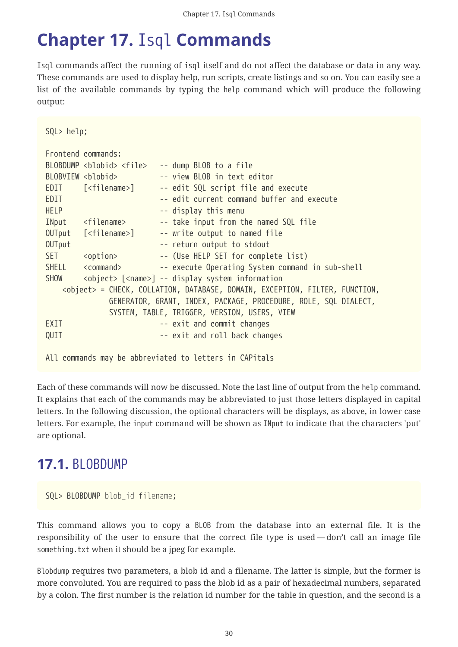### <span id="page-30-0"></span>**Chapter 17.** Isql **Commands**

Isql commands affect the running of isql itself and do not affect the database or data in any way. These commands are used to display help, run scripts, create listings and so on. You can easily see a list of the available commands by typing the help command which will produce the following output:

```
SQL> help;
Frontend commands:
BLOBDUMP <blobid> <file> -- dump BLOB to a file
BLOBVIEW <blobid> -- view BLOB in text editor
EDIT [<filename>] -- edit SQL script file and execute
EDIT EDIT EXECUTE: \frac{1}{2} and \frac{1}{2} and \frac{1}{2} and \frac{1}{2} and \frac{1}{2} and \frac{1}{2} and \frac{1}{2} and \frac{1}{2} and \frac{1}{2} and \frac{1}{2} and \frac{1}{2} and \frac{1}{2} and \frac{1}{2} and \frac{1}{2} and \fracHELP -- display this menu
INput <filename> -- take input from the named SQL file
OUTput [<filename>] -- write output to named file
OUTput - return output to stdout
SET <option> -- (Use HELP SET for complete list)
SHELL <command> -- execute Operating System command in sub-shell
SHOW <object> [<name>] -- display system information
      <object> = CHECK, COLLATION, DATABASE, DOMAIN, EXCEPTION, FILTER, FUNCTION,
                 GENERATOR, GRANT, INDEX, PACKAGE, PROCEDURE, ROLE, SQL DIALECT,
                 SYSTEM, TABLE, TRIGGER, VERSION, USERS, VIEW
EXIT -- exit and commit changes
QUIT -- exit and roll back changes
All commands may be abbreviated to letters in CAPitals
```
Each of these commands will now be discussed. Note the last line of output from the help command. It explains that each of the commands may be abbreviated to just those letters displayed in capital letters. In the following discussion, the optional characters will be displays, as above, in lower case letters. For example, the input command will be shown as INput to indicate that the characters 'put' are optional.

### <span id="page-30-1"></span>**17.1.** BLOBDUMP

SQL> BLOBDUMP *blob\_id filename*;

This command allows you to copy a BLOB from the database into an external file. It is the responsibility of the user to ensure that the correct file type is used — don't call an image file something.txt when it should be a jpeg for example.

Blobdump requires two parameters, a blob id and a filename. The latter is simple, but the former is more convoluted. You are required to pass the blob id as a pair of hexadecimal numbers, separated by a colon. The first number is the relation id number for the table in question, and the second is a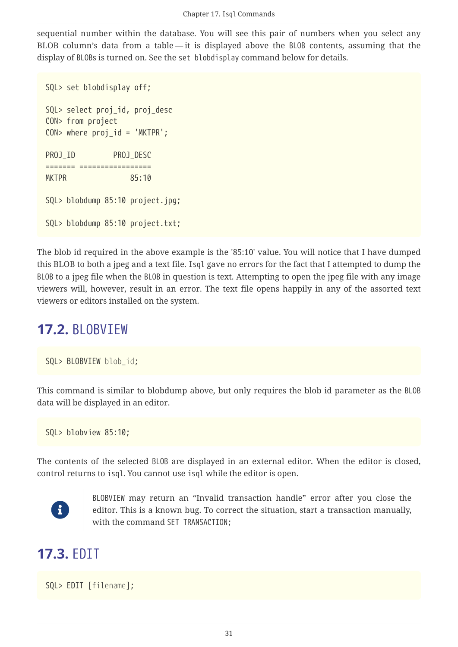sequential number within the database. You will see this pair of numbers when you select any BLOB column's data from a table — it is displayed above the BLOB contents, assuming that the display of BLOBs is turned on. See the set blobdisplay command below for details.

```
SQL> set blobdisplay off;
SQL> select proj_id, proj_desc
CON> from project
CON> where proj id = 'MKTPR';
PROJ ID PROJ DESC
======= =================
MKTPR 85:10
SQL> blobdump 85:10 project.jpg;
SQL> blobdump 85:10 project.txt;
```
The blob id required in the above example is the '85:10' value. You will notice that I have dumped this BLOB to both a jpeg and a text file. Isql gave no errors for the fact that I attempted to dump the BLOB to a jpeg file when the BLOB in question is text. Attempting to open the jpeg file with any image viewers will, however, result in an error. The text file opens happily in any of the assorted text viewers or editors installed on the system.

### <span id="page-31-0"></span>**17.2.** BLOBVIEW

```
SQL> BLOBVIEW blob_id;
```
This command is similar to blobdump above, but only requires the blob id parameter as the BLOB data will be displayed in an editor.

SQL> blobview 85:10;

The contents of the selected BLOB are displayed in an external editor. When the editor is closed, control returns to isql. You cannot use isql while the editor is open.



BLOBVIEW may return an "Invalid transaction handle" error after you close the editor. This is a known bug. To correct the situation, start a transaction manually, with the command SET TRANSACTION;

### <span id="page-31-1"></span>**17.3.** EDIT

SQL> EDIT [*filename*];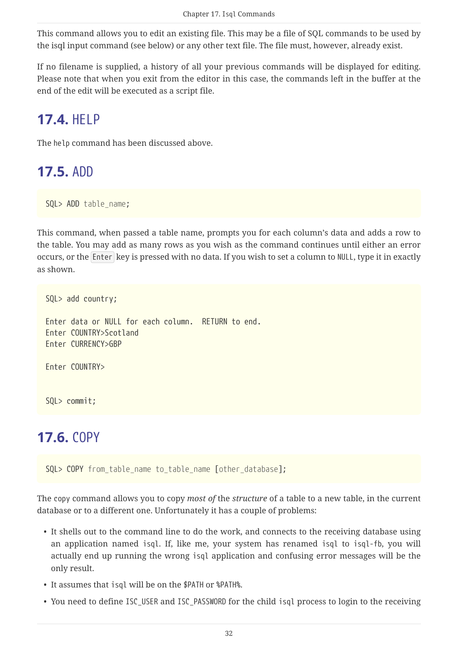This command allows you to edit an existing file. This may be a file of SQL commands to be used by the isql input command (see below) or any other text file. The file must, however, already exist.

If no filename is supplied, a history of all your previous commands will be displayed for editing. Please note that when you exit from the editor in this case, the commands left in the buffer at the end of the edit will be executed as a script file.

### <span id="page-32-0"></span>**17.4.** HELP

The help command has been discussed above.

### <span id="page-32-1"></span>**17.5.** ADD

SQL> ADD *table\_name*;

This command, when passed a table name, prompts you for each column's data and adds a row to the table. You may add as many rows as you wish as the command continues until either an error occurs, or the Enter key is pressed with no data. If you wish to set a column to NULL, type it in exactly as shown.

```
SQL> add country;
Enter data or NULL for each column. RETURN to end.
Enter COUNTRY>Scotland
Enter CURRENCY>GBP
Enter COUNTRY>
SQL> commit;
```
### <span id="page-32-2"></span>**17.6.** COPY

SQL> COPY *from\_table\_name to\_table\_name* [*other\_database*];

The copy command allows you to copy *most of* the *structure* of a table to a new table, in the current database or to a different one. Unfortunately it has a couple of problems:

- It shells out to the command line to do the work, and connects to the receiving database using an application named isql. If, like me, your system has renamed isql to isql-fb, you will actually end up running the wrong isql application and confusing error messages will be the only result.
- It assumes that isql will be on the \$PATH or %PATH%.
- You need to define ISC\_USER and ISC\_PASSWORD for the child isql process to login to the receiving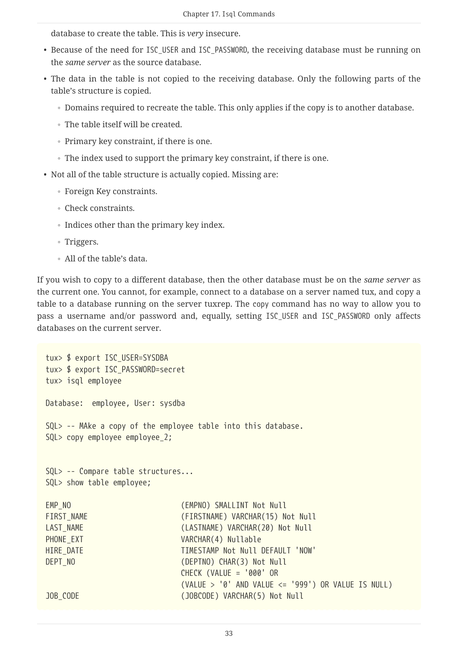database to create the table. This is *very* insecure.

- Because of the need for ISC\_USER and ISC\_PASSWORD, the receiving database must be running on the *same server* as the source database.
- The data in the table is not copied to the receiving database. Only the following parts of the table's structure is copied.
	- Domains required to recreate the table. This only applies if the copy is to another database.
	- The table itself will be created.
	- Primary key constraint, if there is one.
	- The index used to support the primary key constraint, if there is one.
- Not all of the table structure is actually copied. Missing are:
	- Foreign Key constraints.
	- Check constraints.
	- Indices other than the primary key index.
	- Triggers.
	- All of the table's data.

If you wish to copy to a different database, then the other database must be on the *same server* as the current one. You cannot, for example, connect to a database on a server named tux, and copy a table to a database running on the server tuxrep. The copy command has no way to allow you to pass a username and/or password and, equally, setting ISC\_USER and ISC\_PASSWORD only affects databases on the current server.

```
tux> $ export ISC_USER=SYSDBA
tux> $ export ISC_PASSWORD=secret
tux> isql employee
Database: employee, User: sysdba
SQL> -- MAke a copy of the employee table into this database.
SQL> copy employee employee_2;
SQL> -- Compare table structures...
SQL> show table employee;
EMP_NO (EMPNO) SMALLINT Not Null
FIRST_NAME (FIRSTNAME) VARCHAR(15) Not Null
LAST NAME (LASTNAME) VARCHAR(20) Not Null
PHONE EXT VARCHAR(4) Nullable
HIRE_DATE TIMESTAMP Not Null DEFAULT 'NOW'
DEPT NO GEPTNO) CHAR(3) Not Null
                           CHECK (VALUE = '000' OR
                           (VALUE > '0' AND VALUE <= '999') OR VALUE IS NULL)
JOB CODE (JOBCODE) VARCHAR(5) Not Null
```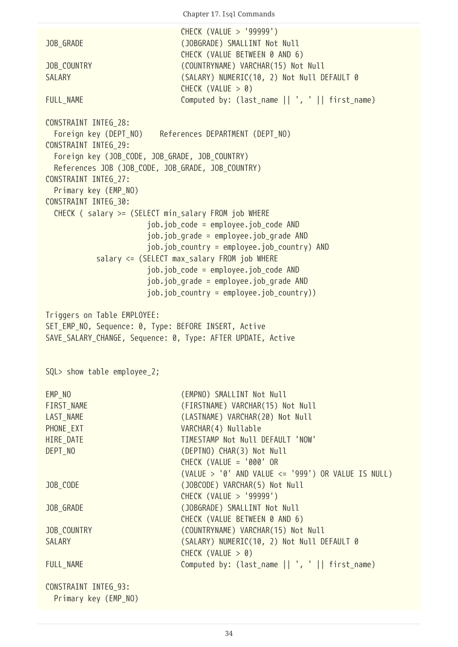Chapter 17. Isql Commands

```
  CHECK (VALUE > '99999')
JOB_GRADE (JOBGRADE) SMALLINT Not Null
                                CHECK (VALUE BETWEEN 0 AND 6)
JOB COUNTRY (COUNTRYNAME) VARCHAR(15) Not Null
SALARY (SALARY) NUMERIC(10, 2) Not Null DEFAULT 0
                                CHECK (VALUE > 0)
FULL_NAME Computed by: (last_name || ', ' || first_name)
CONSTRAINT INTEG_28:
  Foreign key (DEPT NO) References DEPARTMENT (DEPT NO)
CONSTRAINT INTEG_29:
   Foreign key (JOB_CODE, JOB_GRADE, JOB_COUNTRY)
   References JOB (JOB_CODE, JOB_GRADE, JOB_COUNTRY)
CONSTRAINT INTEG_27:
   Primary key (EMP_NO)
CONSTRAINT INTEG_30:
   CHECK ( salary >= (SELECT min_salary FROM job WHERE
                         job.job_code = employee.job_code AND
                        job.job_grade = employee.job_grade AND
                         job.job_country = employee.job_country) AND
             salary <= (SELECT max_salary FROM job WHERE
                        job.job_code = employee.job_code AND
                         job.job_grade = employee.job_grade AND
                      job.iob country = employee.job country))
Triggers on Table EMPLOYEE:
SET_EMP_NO, Sequence: 0, Type: BEFORE INSERT, Active
SAVE_SALARY_CHANGE, Sequence: 0, Type: AFTER UPDATE, Active
SQL> show table employee 2;
EMP_NO THE CONTROL CONTROL CONTROL CONTROL CONTROL CONTROL CONTROL CONTROL CONTROL CONTROL CONTROL CONTROL CONTROL CONTROL CONTROL CONTROL CONTROL CONTROL CONTROL CONTROL CONTROL CONTROL CONTROL CONTROL CONTROL CONTROL CON
FIRST NAME (FIRSTNAME) VARCHAR(15) Not Null
LAST NAME (LASTNAME) VARCHAR(20) Not Null
PHONE EXT VARCHAR(4) Nullable
HIRE DATE TIMESTAMP Not Null DEFAULT 'NOW'
DEPT NO GEPTNO) CHAR(3) Not Null
                                CHECK (VALUE = '000' OR
                                (VALUE > '0' AND VALUE <= '999') OR VALUE IS NULL)
JOB CODE (JOBCODE) VARCHAR(5) Not Null
                                CHECK (VALUE > '99999')
JOB GRADE (JOBGRADE) SMALLINT Not Null
                                CHECK (VALUE BETWEEN 0 AND 6)
JOB_COUNTRY (COUNTRYNAME) VARCHAR(15) Not Null
SALARY (SALARY) NUMERIC(10, 2) Not Null DEFAULT 0
                                CHECK (VALUE > 0)
FULL_NAME Computed by: (last_name || ', ' || first_name)
CONSTRAINT INTEG_93:
   Primary key (EMP_NO)
```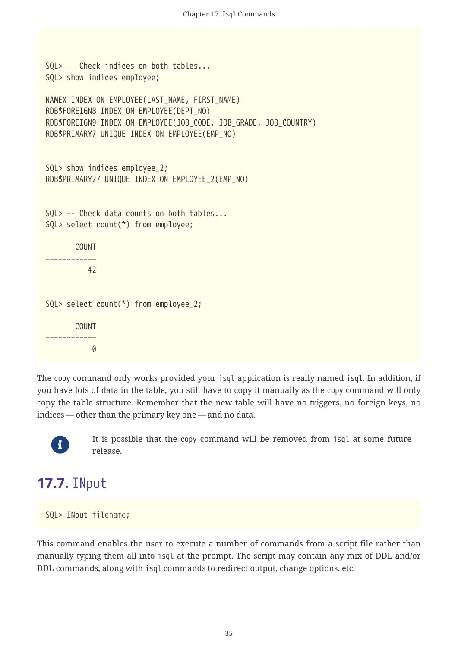```
SQL> -- Check indices on both tables...
SQL> show indices employee;
NAMEX INDEX ON EMPLOYEE(LAST NAME, FIRST NAME)
RDB$FOREIGN8 INDEX ON EMPLOYEE(DEPT_NO)
RDB$FOREIGN9 INDEX ON EMPLOYEE(JOB CODE, JOB GRADE, JOB COUNTRY)
RDB$PRIMARY7 UNIQUE INDEX ON EMPLOYEE(EMP_NO)
SQL> show indices employee_2;
RDB$PRIMARY27 UNIQUE INDEX ON EMPLOYEE_2(EMP_NO)
SQL> -- Check data counts on both tables...
SQL> select count(*) from employee;
         COUNT
============
         42
SQL> select count(*) from employee_2;
        COUNT
============
  0
```
The copy command only works provided your isql application is really named isql. In addition, if you have lots of data in the table, you still have to copy it manually as the copy command will only copy the table structure. Remember that the new table will have no triggers, no foreign keys, no indices — other than the primary key one — and no data.



It is possible that the copy command will be removed from isql at some future release.

### <span id="page-35-0"></span>**17.7.** INput

SQL> INput *filename*;

This command enables the user to execute a number of commands from a script file rather than manually typing them all into isql at the prompt. The script may contain any mix of DDL and/or DDL commands, along with isql commands to redirect output, change options, etc.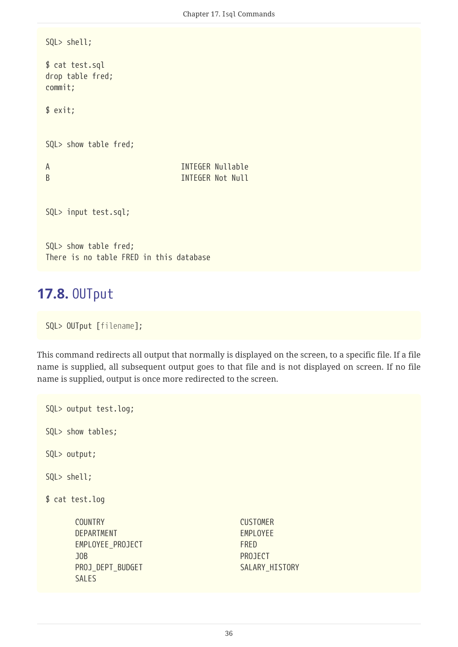```
SQL> shell;
$ cat test.sql
drop table fred;
commit;
$ exit;
SQL> show table fred;
A INTEGER Nullable
B INTEGER Not Null
SQL> input test.sql;
SQL> show table fred;
There is no table FRED in this database
```
#### **17.8.** OUTput

```
SQL> OUTput [filename];
```
This command redirects all output that normally is displayed on the screen, to a specific file. If a file name is supplied, all subsequent output goes to that file and is not displayed on screen. If no file name is supplied, output is once more redirected to the screen.

SQL> output test.log;

SQL> show tables;

SQL> output;

SQL> shell;

\$ cat test.log

```
  COUNTRY CUSTOMER
DEPARTMENT EMPLOYEE
EMPLOYEE_PROJECT FRED
  JOB PROJECT
PROJ_DEPT_BUDGET SALARY_HISTORY
  SALES
```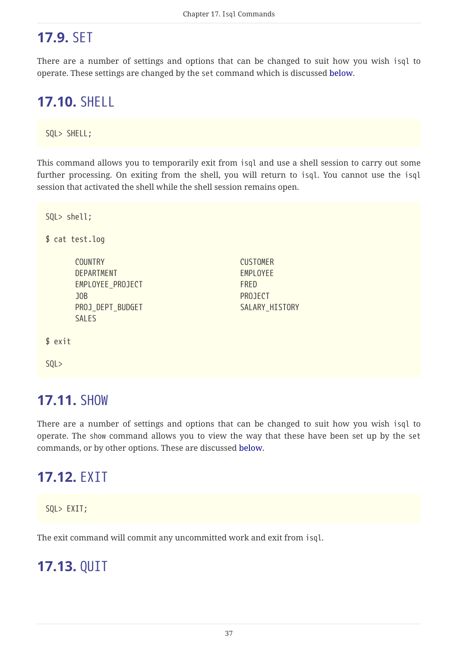# **17.9.** SET

There are a number of settings and options that can be changed to suit how you wish isql to operate. These settings are changed by the set command which is discussed [below.](#page-39-0)

# **17.10.** SHELL

SQL> SHELL;

This command allows you to temporarily exit from isql and use a shell session to carry out some further processing. On exiting from the shell, you will return to isql. You cannot use the isql session that activated the shell while the shell session remains open.

```
SQL> shell;
$ cat test.log
     COUNTRY CUSTOMER
   DEPARTMENT EMPLOYEE
   EMPLOYEE PROJECT FRED
     JOB PROJECT
   PROJ DEPT BUDGET SALARY HISTORY
   SALES
$ exit
SQL>
```
#### **17.11.** SHOW

There are a number of settings and options that can be changed to suit how you wish isql to operate. The show command allows you to view the way that these have been set up by the set commands, or by other options. These are discussed [below](#page-57-0).

## **17.12.** EXIT

SQL> EXIT;

The exit command will commit any uncommitted work and exit from isql.

## **17.13.** QUIT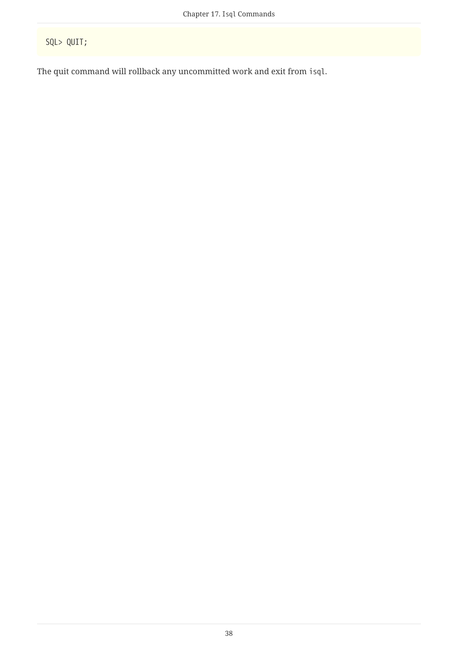SQL> QUIT;

The quit command will rollback any uncommitted work and exit from isql.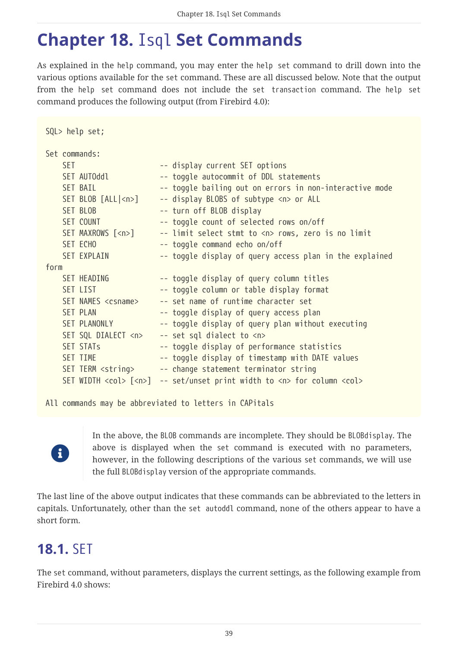# <span id="page-39-0"></span>**Chapter 18.** Isql **Set Commands**

As explained in the help command, you may enter the help set command to drill down into the various options available for the set command. These are all discussed below. Note that the output from the help set command does not include the set transaction command. The help set command produces the following output (from Firebird 4.0):

| SQL> help set;                                                                                                                                            |                                                                                                                                                                                                                                                                                                                                                                                                                                                                                                                                                                                                                              |
|-----------------------------------------------------------------------------------------------------------------------------------------------------------|------------------------------------------------------------------------------------------------------------------------------------------------------------------------------------------------------------------------------------------------------------------------------------------------------------------------------------------------------------------------------------------------------------------------------------------------------------------------------------------------------------------------------------------------------------------------------------------------------------------------------|
| Set commands:<br><b>SET</b><br>SET AUTOddl<br>SET BAIL<br>SET BLOB [ALL  <n>]<br/>SET BLOB<br/>SET COUNT<br/>SET MAXROWS [<n>]<br/>SET ECHO</n></n>       | -- display current SET options<br>-- toggle autocommit of DDL statements<br>-- toggle bailing out on errors in non-interactive mode<br>-- display BLOBS of subtype <n> or ALL<br/>-- turn off BLOB display<br/>-- toggle count of selected rows on/off<br/>-- limit select stmt to <n> rows, zero is no limit<br/>-- toggle command echo on/off</n></n>                                                                                                                                                                                                                                                                      |
| <b>SET EXPLAIN</b><br>form                                                                                                                                | -- toggle display of query access plan in the explained                                                                                                                                                                                                                                                                                                                                                                                                                                                                                                                                                                      |
| SET HEADING<br>SET LIST<br>SET NAMES <csname><br/><b>SET PLAN</b><br/>SET PLANONLY<br/>SET SQL DIALECT <n><br/><b>SET STATs</b><br/>SET TIME</n></csname> | -- toggle display of query column titles<br>-- toggle column or table display format<br>-- set name of runtime character set<br>-- toggle display of query access plan<br>-- toggle display of query plan without executing<br>-- set sql dialect to <n><br/>-- toggle display of performance statistics<br/>-- toggle display of timestamp with DATE values<br/>SET TERM <string> -- change statement terminator string<br/>SET WIDTH <math>\langle col \rangle</math> <math>[\langle n \rangle]</math> -- set/unset print width to <math>\langle n \rangle</math> for column <math>\langle col \rangle</math></string></n> |

All commands may be abbreviated to letters in CAPitals



In the above, the BLOB commands are incomplete. They should be BLOBdisplay. The above is displayed when the set command is executed with no parameters, however, in the following descriptions of the various set commands, we will use the full BLOBdisplay version of the appropriate commands.

The last line of the above output indicates that these commands can be abbreviated to the letters in capitals. Unfortunately, other than the set autoddl command, none of the others appear to have a short form.

# **18.1.** SET

The set command, without parameters, displays the current settings, as the following example from Firebird 4.0 shows: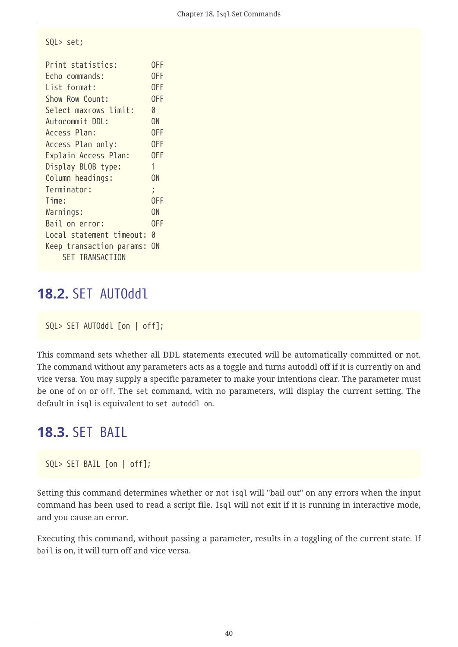SQL> set;

| Print statistics:          | 0FF       |
|----------------------------|-----------|
| Echo commands:             | 0FF       |
| List format:               | 0FF       |
| Show Row Count:            | 0FF       |
| Select maxrows limit:      | Ø         |
| Autocommit DDL:            | ON        |
| Access Plan:               | 0FF       |
| Access Plan only:          | 0FF       |
| Explain Access Plan:       | 0FF       |
| Display BLOB type:         | 1         |
| Column headings:           |           |
| Terminator:                | ÷.        |
| Time:                      | 0FF       |
| Warnings:                  | <b>ON</b> |
| Bail on error:             | 0FF       |
| Local statement timeout: 0 |           |
| Keep transaction params:   | <b>ON</b> |
| SET TRANSACTION            |           |

#### **18.2.** SET AUTOddl

SQL> SET AUTOddl [on | off];

This command sets whether all DDL statements executed will be automatically committed or not. The command without any parameters acts as a toggle and turns autoddl off if it is currently on and vice versa. You may supply a specific parameter to make your intentions clear. The parameter must be one of on or off. The set command, with no parameters, will display the current setting. The default in isql is equivalent to set autoddl on.

#### **18.3.** SET BAIL

SQL> SET BAIL [on | off];

Setting this command determines whether or not isql will "bail out" on any errors when the input command has been used to read a script file. Isql will not exit if it is running in interactive mode, and you cause an error.

Executing this command, without passing a parameter, results in a toggling of the current state. If bail is on, it will turn off and vice versa.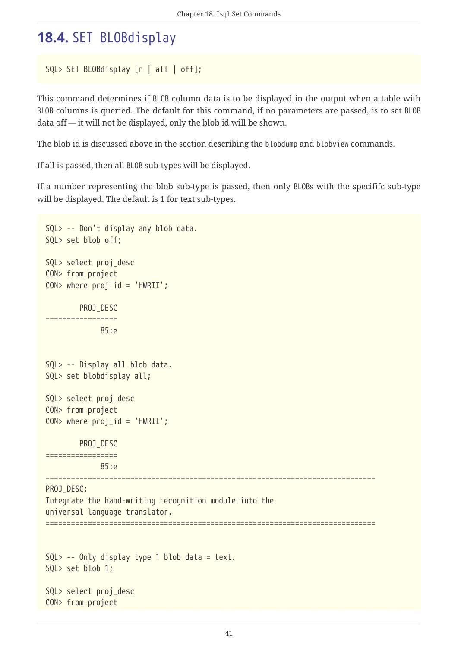# **18.4.** SET BLOBdisplay

```
SQL> SET BLOBdisplay [n | all | off];
```
This command determines if BLOB column data is to be displayed in the output when a table with BLOB columns is queried. The default for this command, if no parameters are passed, is to set BLOB data off — it will not be displayed, only the blob id will be shown.

The blob id is discussed above in the section describing the blobdump and blobview commands.

If all is passed, then all BLOB sub-types will be displayed.

If a number representing the blob sub-type is passed, then only BLOBs with the specififc sub-type will be displayed. The default is 1 for text sub-types.

```
SQL> -- Don't display any blob data.
SQL> set blob off;
SQL> select proj_desc
CON> from project
CON> where proj_id = 'HWRII';  PROJ_DESC
=================
               85:e
SQL> -- Display all blob data.
SQL> set blobdisplay all;
SQL> select proj_desc
CON> from project
CON> where proj_id = 'HWRII';  PROJ_DESC
=================
               85:e
==============================================================================
PROJ_DESC:
Integrate the hand-writing recognition module into the
universal language translator.
==============================================================================
SQL> -- Only display type 1 blob data = text.
SQL> set blob 1;
SQL> select proj_desc
CON> from project
```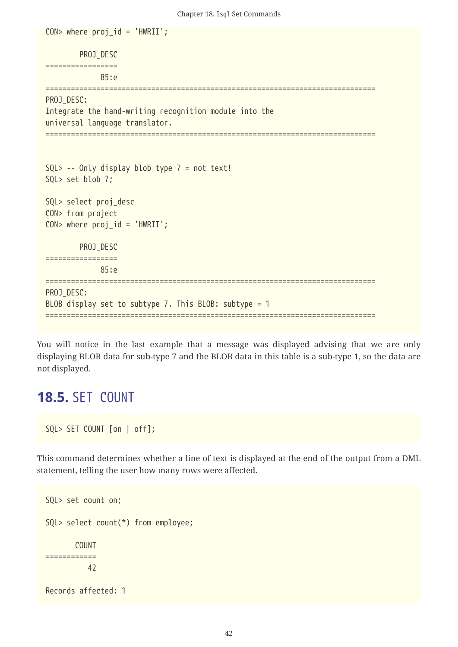```
CON> where proj_id = 'HWRII';
          PROJ_DESC
=================
               85:e
==============================================================================
PROJ_DESC:
Integrate the hand-writing recognition module into the
universal language translator.
==============================================================================
SQL> -- Only display blob type 7 = not text!SQL> set blob 7;
SQL> select proj_desc
CON> from project
CON> where proj_id = 'HWRII';
          PROJ_DESC
=================
               85:e
==============================================================================
PROJ_DESC:
BLOB display set to subtype 7. This BLOB: subtype = 1
==============================================================================
```
You will notice in the last example that a message was displayed advising that we are only displaying BLOB data for sub-type 7 and the BLOB data in this table is a sub-type 1, so the data are not displayed.

#### **18.5.** SET COUNT

```
SQL> SET COUNT [on | off];
```
This command determines whether a line of text is displayed at the end of the output from a DML statement, telling the user how many rows were affected.

```
SQL> set count on;
SQL> select count(*) from employee;
         COUNT
============
            42
Records affected: 1
```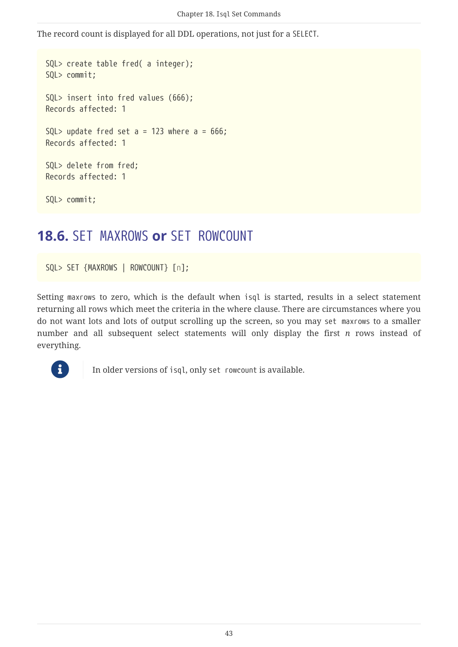The record count is displayed for all DDL operations, not just for a SELECT.

```
SQL> create table fred( a integer);
SQL> commit;
SQL> insert into fred values (666);
Records affected: 1
SOL> update fred set a = 123 where a = 666;
Records affected: 1
SQL> delete from fred;
Records affected: 1
SQL> commit;
```
## **18.6.** SET MAXROWS **or** SET ROWCOUNT

SQL> SET {MAXROWS | ROWCOUNT} [*n*];

Setting maxrows to zero, which is the default when isql is started, results in a select statement returning all rows which meet the criteria in the where clause. There are circumstances where you do not want lots and lots of output scrolling up the screen, so you may set maxrows to a smaller number and all subsequent select statements will only display the first *n* rows instead of everything.



In older versions of isql, only set row count is available.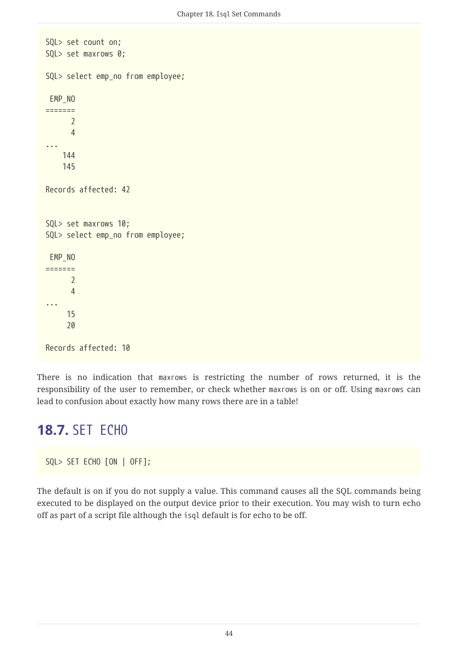```
SQL> set count on;
SQL> set maxrows 0;
SQL> select emp_no from employee;
  EMP_NO
=======
         2
         4
...
       144
       145
Records affected: 42
SQL> set maxrows 10;
SQL> select emp_no from employee;
  EMP_NO
=======
       \overline{\phantom{a}}  4
...
        15
        20
Records affected: 10
```
There is no indication that maxrows is restricting the number of rows returned, it is the responsibility of the user to remember, or check whether maxrows is on or off. Using maxrows can lead to confusion about exactly how many rows there are in a table!

#### **18.7.** SET ECHO

SQL> SET ECHO [ON | OFF];

The default is on if you do not supply a value. This command causes all the SQL commands being executed to be displayed on the output device prior to their execution. You may wish to turn echo off as part of a script file although the isql default is for echo to be off.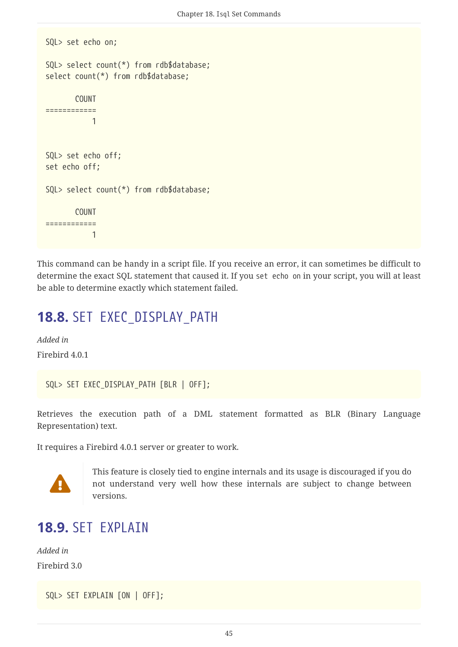```
SQL> set echo on;
SQL> select count(*) from rdb$database;
select count(*) from rdb$database;
        COUNT
============
  1
SQL> set echo off;
set echo off;
SQL> select count(*) from rdb$database;
      COUNT
============
  1
```
This command can be handy in a script file. If you receive an error, it can sometimes be difficult to determine the exact SQL statement that caused it. If you set echo on in your script, you will at least be able to determine exactly which statement failed.

# **18.8.** SET EXEC\_DISPLAY\_PATH

*Added in* Firebird 4.0.1

SQL> SET EXEC\_DISPLAY\_PATH [BLR | OFF];

Retrieves the execution path of a DML statement formatted as BLR (Binary Language Representation) text.

It requires a Firebird 4.0.1 server or greater to work.



This feature is closely tied to engine internals and its usage is discouraged if you do not understand very well how these internals are subject to change between versions.

## <span id="page-45-0"></span>**18.9. SFT FXPLATN**

*Added in* Firebird 3.0

```
SQL> SET EXPLAIN [ON | OFF];
```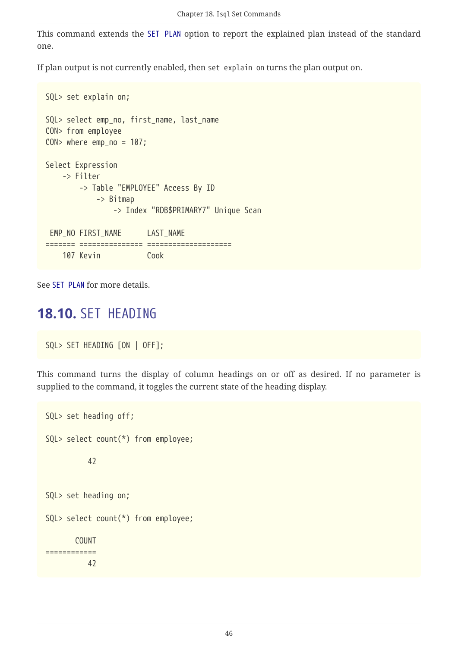This command extends the [SET PLAN](#page-49-0) option to report the explained plan instead of the standard one.

If plan output is not currently enabled, then set explain on turns the plan output on.

```
SQL> set explain on;
SQL> select emp_no, first_name, last_name
CON> from employee
CON> where emp no = 107;
Select Expression
      -> Filter
          -> Table "EMPLOYEE" Access By ID
              -> Bitmap
                  -> Index "RDB$PRIMARY7" Unique Scan
 EMP_NO FIRST_NAME LAST_NAME
======= =============== ====================
      107 Kevin Cook
```
See [SET PLAN](#page-49-0) for more details.

#### **18.10.** SET HEADING

SQL> SET HEADING [ON | OFF];

This command turns the display of column headings on or off as desired. If no parameter is supplied to the command, it toggles the current state of the heading display.

```
SQL> set heading off;
SQL> select count(*) from employee;
            42
SQL> set heading on;
SQL> select count(*) from employee;
         COUNT
============
            42
```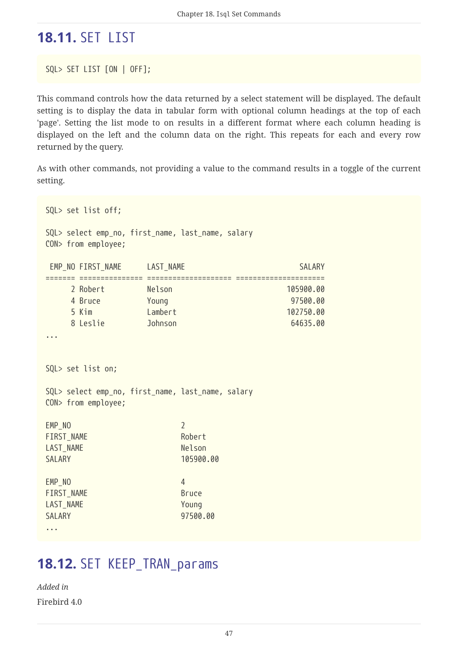# **18.11.** SET LIST

SQL> SET LIST [ON | OFF];

This command controls how the data returned by a select statement will be displayed. The default setting is to display the data in tabular form with optional column headings at the top of each 'page'. Setting the list mode to on results in a different format where each column heading is displayed on the left and the column data on the right. This repeats for each and every row returned by the query.

As with other commands, not providing a value to the command results in a toggle of the current setting.

```
SQL> set list off;
SQL> select emp_no, first_name, last_name, salary
CON> from employee;
EMP_NO_FIRST_NAME LAST_NAME LAST_NAME SALARY
======= =============== ==================== =====================
     2 Robert Nelson 105900.00
     4 Bruce Young 97500.00
     5 Kim Lambert 102750.00
     8 Leslie Johnson 64635.00
...
SQL> set list on;
SQL> select emp_no, first_name, last_name, salary
CON> from employee;
EMP_NO 22
FIRST NAME Robert
LAST NAME Nelson
SALARY 105900.00
EMP_NO 44
FIRST NAME Bruce
LAST_NAME Young
SALARY 97500.00
...
```
#### **18.12.** SET KEEP\_TRAN\_params

*Added in* Firebird 4.0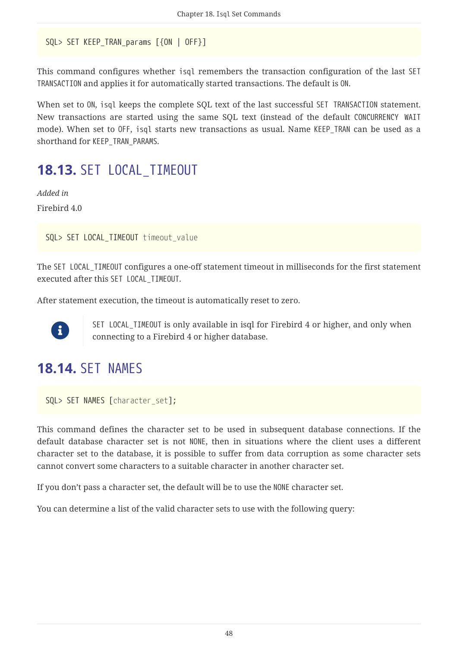```
SQL> SET KEEP TRAN params [{ON | OFF}]
```
This command configures whether isql remembers the transaction configuration of the last SET TRANSACTION and applies it for automatically started transactions. The default is ON.

When set to ON, isql keeps the complete SQL text of the last successful SET TRANSACTION statement. New transactions are started using the same SQL text (instead of the default CONCURRENCY WAIT mode). When set to OFF, isql starts new transactions as usual. Name KEEP\_TRAN can be used as a shorthand for KEEP\_TRAN\_PARAMS.

## **18.13.** SET LOCAL\_TIMEOUT

*Added in* Firebird 4.0

```
SQL> SET LOCAL_TIMEOUT timeout_value
```
The SET LOCAL\_TIMEOUT configures a one-off statement timeout in milliseconds for the first statement executed after this SET LOCAL\_TIMEOUT.

After statement execution, the timeout is automatically reset to zero.



SET LOCAL\_TIMEOUT is only available in isql for Firebird 4 or higher, and only when connecting to a Firebird 4 or higher database.

# **18.14. SET NAMES**

```
SQL> SET NAMES [character_set];
```
This command defines the character set to be used in subsequent database connections. If the default database character set is not NONE, then in situations where the client uses a different character set to the database, it is possible to suffer from data corruption as some character sets cannot convert some characters to a suitable character in another character set.

If you don't pass a character set, the default will be to use the NONE character set.

You can determine a list of the valid character sets to use with the following query: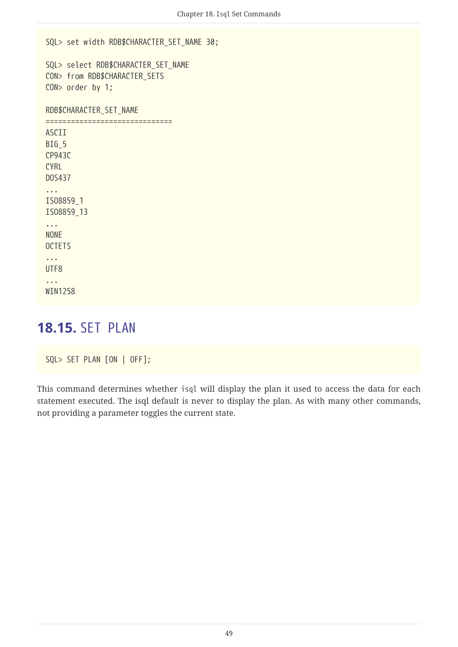```
SQL> set width RDB$CHARACTER_SET_NAME 30;
SQL> select RDB$CHARACTER_SET_NAME
CON> from RDB$CHARACTER_SETS
CON> order by 1;
RDB$CHARACTER_SET_NAME
==============================
ASCII
BIG<sub>5</sub>
CP943C
CYRL
DOS437
...
ISO8859_1
ISO8859_13
...
NONE
OCTETS
...
UTF8
...
WIN1258
```
#### <span id="page-49-0"></span>**18.15.** SET PLAN

```
SQL> SET PLAN [ON | OFF];
```
This command determines whether isql will display the plan it used to access the data for each statement executed. The isql default is never to display the plan. As with many other commands, not providing a parameter toggles the current state.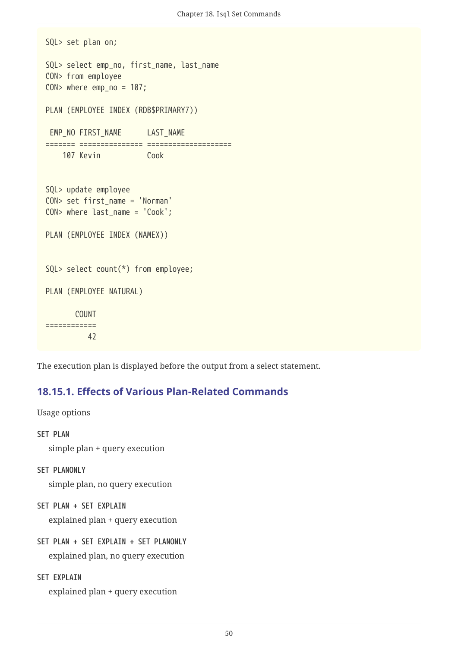```
SQL> set plan on;
SQL> select emp_no, first_name, last_name
CON> from employee
CON> where emp_no = 107;
PLAN (EMPLOYEE INDEX (RDB$PRIMARY7))
EMP_NO_FIRST_NAME LAST_NAME
======= =============== ====================
      107 Kevin Cook
SQL> update employee
CON> set first_name = 'Norman'
CON> where last name = 'Cook';
PLAN (EMPLOYEE INDEX (NAMEX))
SQL> select count(*) from employee;
PLAN (EMPLOYEE NATURAL)
        COUNT
============
            42
```
The execution plan is displayed before the output from a select statement.

#### **18.15.1. Effects of Various Plan-Related Commands**

Usage options

```
SET PLAN
```
simple plan + query execution

**SET PLANONLY**

simple plan, no query execution

**SET PLAN + SET EXPLAIN**

explained plan + query execution

**SET PLAN + SET EXPLAIN + SET PLANONLY**

explained plan, no query execution

```
SET EXPLAIN
```
explained plan + query execution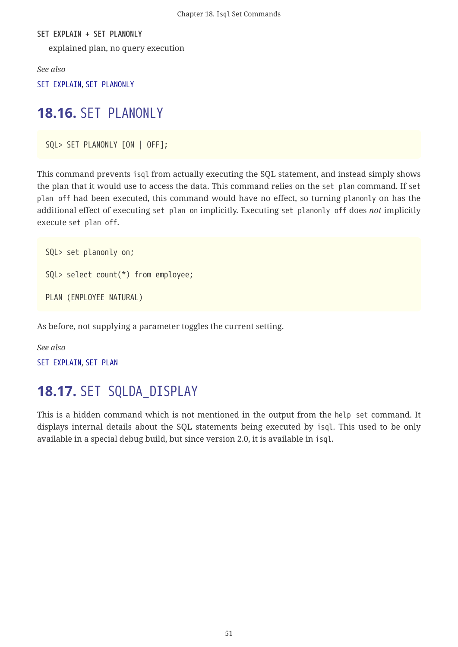**SET EXPLAIN + SET PLANONLY** explained plan, no query execution

*See also*

[SET EXPLAIN](#page-45-0), [SET PLANONLY](#page-51-0)

## <span id="page-51-0"></span>**18.16.** SET PLANONLY

SQL> SET PLANONLY [ON | OFF];

This command prevents isql from actually executing the SQL statement, and instead simply shows the plan that it would use to access the data. This command relies on the set plan command. If set plan off had been executed, this command would have no effect, so turning planonly on has the additional effect of executing set plan on implicitly. Executing set planonly off does *not* implicitly execute set plan off.

```
SQL> set planonly on;
SQL> select count(*) from employee;
PLAN (EMPLOYEE NATURAL)
```
As before, not supplying a parameter toggles the current setting.

*See also* [SET EXPLAIN](#page-45-0), [SET PLAN](#page-49-0)

# **18.17.** SET SQLDA\_DISPLAY

This is a hidden command which is not mentioned in the output from the help set command. It displays internal details about the SQL statements being executed by isql. This used to be only available in a special debug build, but since version 2.0, it is available in isql.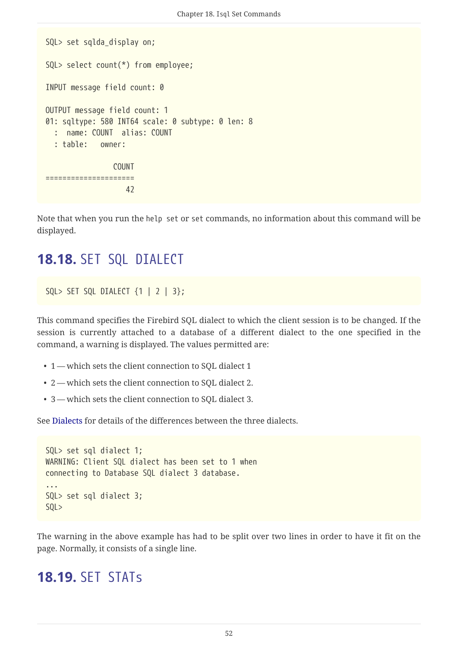```
SQL> set sqlda_display on;
SQL> select count(*) from employee;
INPUT message field count: 0
OUTPUT message field count: 1
01: sqltype: 580 INT64 scale: 0 subtype: 0 len: 8
    : name: COUNT alias: COUNT
    : table: owner:
                 COUNT
=====================
42 and 2
```
Note that when you run the help set or set commands, no information about this command will be displayed.

## **18.18.** SET SQL DIALECT

```
SQL> SET SQL DIALECT \{1 \mid 2 \mid 3\};
```
This command specifies the Firebird SQL dialect to which the client session is to be changed. If the session is currently attached to a database of a different dialect to the one specified in the command, a warning is displayed. The values permitted are:

- 1 which sets the client connection to SQL dialect 1
- 2 which sets the client connection to SQL dialect 2.
- 3 which sets the client connection to SQL dialect 3.

See [Dialects](#page-20-0) for details of the differences between the three dialects.

```
SQL> set sql dialect 1;
WARNING: Client SQL dialect has been set to 1 when
connecting to Database SQL dialect 3 database.
...
SQL> set sql dialect 3;
SQL>
```
The warning in the above example has had to be split over two lines in order to have it fit on the page. Normally, it consists of a single line.

#### **18.19.** SET STATs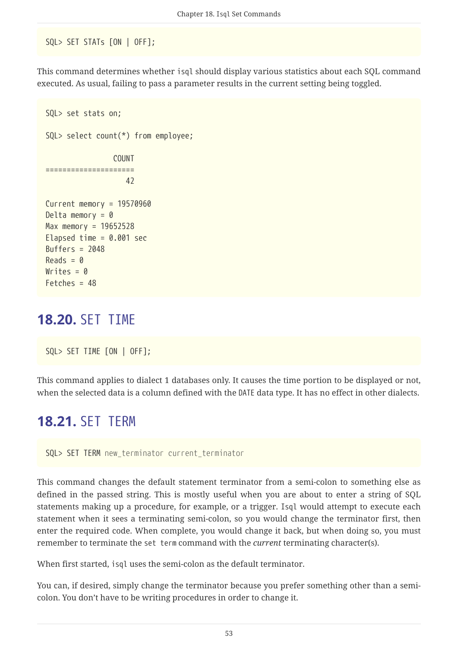SQL> SET STATs [ON | OFF];

This command determines whether isql should display various statistics about each SQL command executed. As usual, failing to pass a parameter results in the current setting being toggled.

```
SQL> set stats on;
SQL> select count(*) from employee;
                  COUNT
=====================
42 and 2
Current memory = 19570960
Delta memory = \thetaMax memory = 19652528
Elapsed time = 0.001 sec
Buffers = 2048
Reads = 0Writes = 0Fetches = 48
```
## **18.20.** SET TIME

SQL> SET TIME [ON | OFF];

This command applies to dialect 1 databases only. It causes the time portion to be displayed or not, when the selected data is a column defined with the DATE data type. It has no effect in other dialects.

## **18.21.** SET TERM

SQL> SET TERM *new\_terminator current\_terminator*

This command changes the default statement terminator from a semi-colon to something else as defined in the passed string. This is mostly useful when you are about to enter a string of SQL statements making up a procedure, for example, or a trigger. Isql would attempt to execute each statement when it sees a terminating semi-colon, so you would change the terminator first, then enter the required code. When complete, you would change it back, but when doing so, you must remember to terminate the set term command with the *current* terminating character(s).

When first started, isql uses the semi-colon as the default terminator.

You can, if desired, simply change the terminator because you prefer something other than a semicolon. You don't have to be writing procedures in order to change it.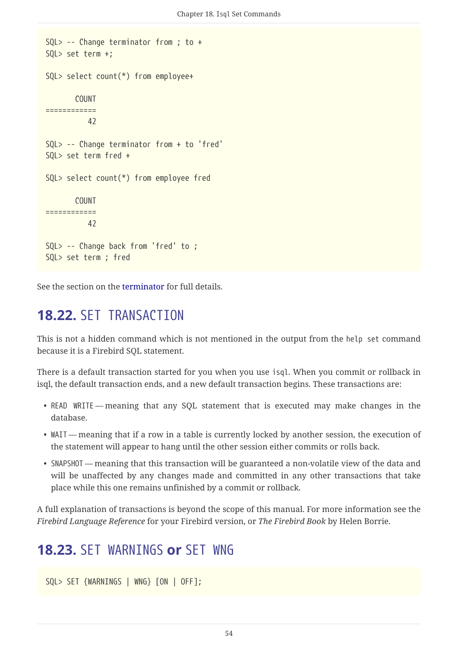```
SQL> -- Change terminator from ; to +
SQL> set term +;
SQL> select count(*) from employee+
         COUNT
============
            42
SQL> -- Change terminator from + to 'fred'
SQL> set term fred +
SQL> select count(*) from employee fred
         COUNT
============
            42
SQL> -- Change back from 'fred' to ;
SQL> set term ; fred
```
See the section on the [terminator](#page-22-0) for full details.

#### **18.22.** SET TRANSACTION

This is not a hidden command which is not mentioned in the output from the help set command because it is a Firebird SQL statement.

There is a default transaction started for you when you use isql. When you commit or rollback in isql, the default transaction ends, and a new default transaction begins. These transactions are:

- READ WRITE meaning that any SQL statement that is executed may make changes in the database.
- WAIT meaning that if a row in a table is currently locked by another session, the execution of the statement will appear to hang until the other session either commits or rolls back.
- SNAPSHOT meaning that this transaction will be guaranteed a non-volatile view of the data and will be unaffected by any changes made and committed in any other transactions that take place while this one remains unfinished by a commit or rollback.

A full explanation of transactions is beyond the scope of this manual. For more information see the *Firebird Language Reference* for your Firebird version, or *The Firebird Book* by Helen Borrie.

#### **18.23.** SET WARNINGS **or** SET WNG

SQL> SET {WARNINGS | WNG} [ON | OFF];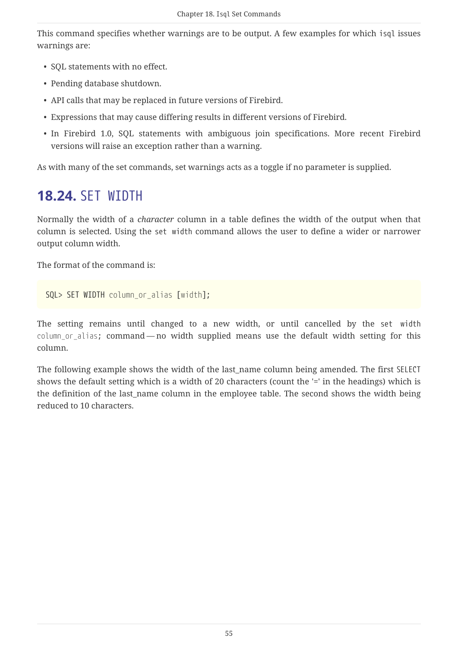This command specifies whether warnings are to be output. A few examples for which isql issues warnings are:

- SQL statements with no effect.
- Pending database shutdown.
- API calls that may be replaced in future versions of Firebird.
- Expressions that may cause differing results in different versions of Firebird.
- In Firebird 1.0, SQL statements with ambiguous join specifications. More recent Firebird versions will raise an exception rather than a warning.

As with many of the set commands, set warnings acts as a toggle if no parameter is supplied.

# **18.24.** SET WIDTH

Normally the width of a *character* column in a table defines the width of the output when that column is selected. Using the set width command allows the user to define a wider or narrower output column width.

The format of the command is:

```
SQL> SET WIDTH column_or_alias [width];
```
The setting remains until changed to a new width, or until cancelled by the set width *column\_or\_alias*; command — no width supplied means use the default width setting for this column.

The following example shows the width of the last name column being amended. The first SELECT shows the default setting which is a width of 20 characters (count the '=' in the headings) which is the definition of the last name column in the employee table. The second shows the width being reduced to 10 characters.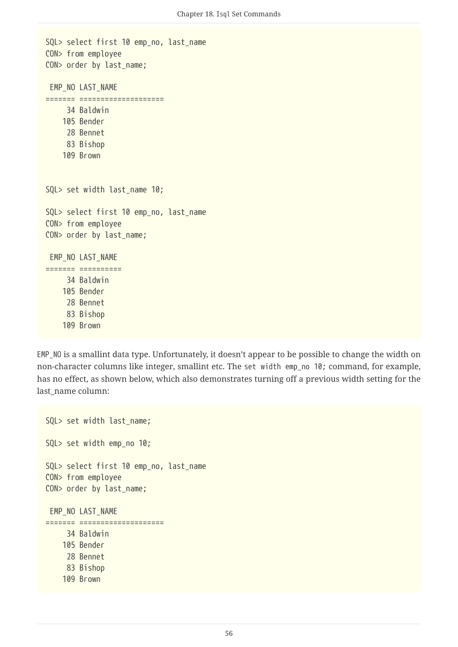```
SQL> select first 10 emp no, last name
CON> from employee
CON> order by last_name;
 EMP_NO LAST_NAME
======= ====================
       34 Baldwin
      105 Bender
       28 Bennet
       83 Bishop
      109 Brown
SQL> set width last_name 10;
SQL> select first 10 emp no, last name
CON> from employee
CON> order by last_name;
 EMP_NO LAST_NAME
======= ==========
       34 Baldwin
      105 Bender
       28 Bennet
       83 Bishop
      109 Brown
```
EMP\_NO is a smallint data type. Unfortunately, it doesn't appear to be possible to change the width on non-character columns like integer, smallint etc. The set width emp\_no 10; command, for example, has no effect, as shown below, which also demonstrates turning off a previous width setting for the last name column:

```
SQL> set width last_name;
SQL> set width emp_no 10;
SQL> select first 10 emp_no, last_name
CON> from employee
CON> order by last_name;
 EMP_NO LAST_NAME
======= ====================
       34 Baldwin
      105 Bender
       28 Bennet
       83 Bishop
      109 Brown
```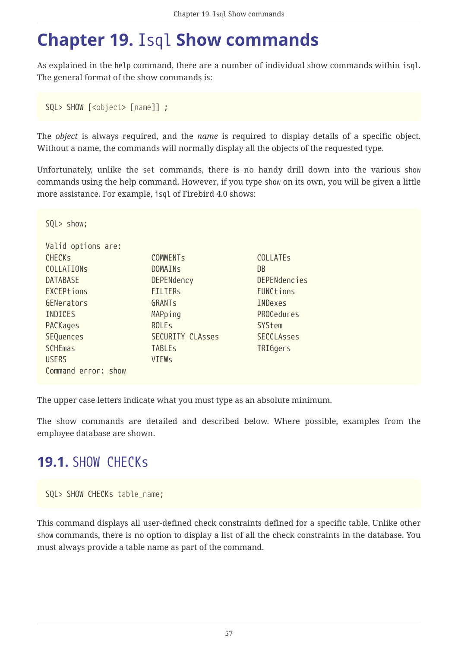# <span id="page-57-0"></span>**Chapter 19.** Isql **Show commands**

As explained in the help command, there are a number of individual show commands within isql. The general format of the show commands is:

SQL> SHOW [<*object*> [*name*]] ;

 $S(1) > Show$ 

The *object* is always required, and the *name* is required to display details of a specific object. Without a name, the commands will normally display all the objects of the requested type.

Unfortunately, unlike the set commands, there is no handy drill down into the various show commands using the help command. However, if you type show on its own, you will be given a little more assistance. For example, isql of Firebird 4.0 shows:

| Valid options are:  |                         |                     |
|---------------------|-------------------------|---------------------|
| <b>CHECKS</b>       | <b>COMMENTS</b>         | <b>COLLATES</b>     |
| <b>COLLATIONS</b>   | <b>DOMAINS</b>          | DB                  |
| <b>DATABASE</b>     | DEPENdency              | <b>DEPENdencies</b> |
| EXCEPtions          | <b>FILTERS</b>          | FUNCtions           |
| GENerators          | GRANTS                  | <b>INDexes</b>      |
| INDICES             | MAPping                 | <b>PROCedures</b>   |
| PACKages            | <b>ROLES</b>            | SYStem              |
| <b>SEQuences</b>    | <b>SECURITY CLAsses</b> | <b>SECCLAsses</b>   |
| <b>SCHEmas</b>      | <b>TABLEs</b>           | TRIGgers            |
| <b>USERS</b>        | <b>VIEWs</b>            |                     |
| Command error: show |                         |                     |

The upper case letters indicate what you must type as an absolute minimum.

The show commands are detailed and described below. Where possible, examples from the employee database are shown.

# **19.1. SHOW CHECKS**

SQL> SHOW CHECKs *table\_name*;

This command displays all user-defined check constraints defined for a specific table. Unlike other show commands, there is no option to display a list of all the check constraints in the database. You must always provide a table name as part of the command.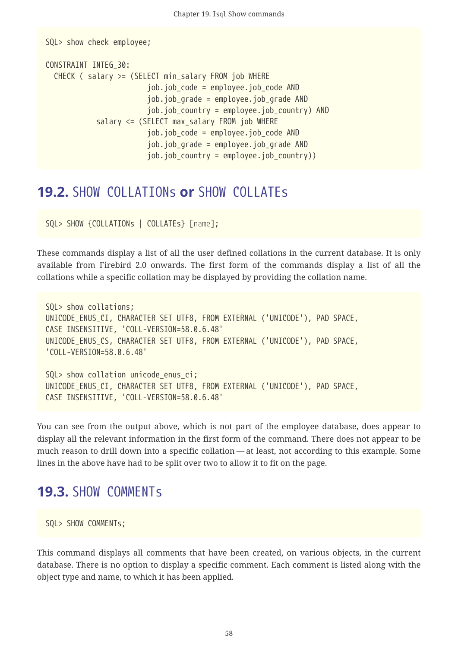```
SQL> show check employee;
CONSTRAINT INTEG_30:
   CHECK ( salary >= (SELECT min_salary FROM job WHERE
                           job.job_code = employee.job_code AND
                           job.job_grade = employee.job_grade AND
                           job.job_country = employee.job_country) AND
              salary <= (SELECT max_salary FROM job WHERE
                           job.job_code = employee.job_code AND
                           job.job_grade = employee.job_grade AND
                           job.job_country = employee.job_country))
```
#### **19.2.** SHOW COLLATIONs **or** SHOW COLLATEs

```
SQL> SHOW {COLLATIONs | COLLATEs} [name];
```
These commands display a list of all the user defined collations in the current database. It is only available from Firebird 2.0 onwards. The first form of the commands display a list of all the collations while a specific collation may be displayed by providing the collation name.

```
SQL> show collations;
UNICODE_ENUS_CI, CHARACTER SET UTF8, FROM EXTERNAL ('UNICODE'), PAD SPACE,
CASE INSENSITIVE, 'COLL-VERSION=58.0.6.48'
UNICODE_ENUS_CS, CHARACTER SET UTF8, FROM EXTERNAL ('UNICODE'), PAD SPACE,
'COLL-VERSION=58.0.6.48'
SQL> show collation unicode enus ci;
UNICODE_ENUS_CI, CHARACTER SET UTF8, FROM EXTERNAL ('UNICODE'), PAD SPACE,
CASE INSENSITIVE, 'COLL-VERSION=58.0.6.48'
```
You can see from the output above, which is not part of the employee database, does appear to display all the relevant information in the first form of the command. There does not appear to be much reason to drill down into a specific collation — at least, not according to this example. Some lines in the above have had to be split over two to allow it to fit on the page.

#### <span id="page-58-0"></span>**19.3.** SHOW COMMENTs

```
SQL> SHOW COMMENTs;
```
This command displays all comments that have been created, on various objects, in the current database. There is no option to display a specific comment. Each comment is listed along with the object type and name, to which it has been applied.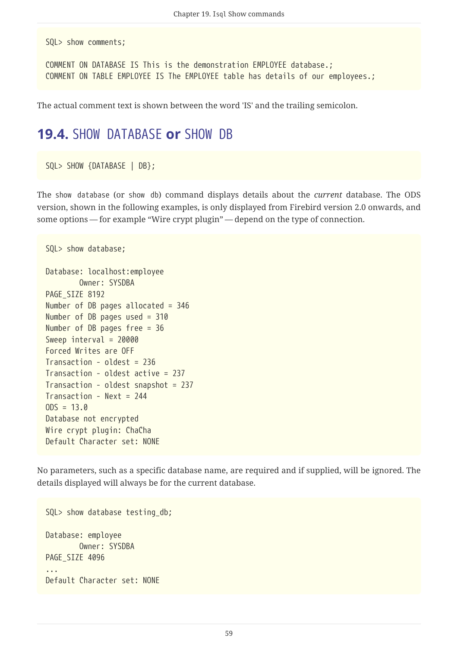SQL> show comments;

```
COMMENT ON DATABASE IS This is the demonstration EMPLOYEE database.;
COMMENT ON TABLE EMPLOYEE IS The EMPLOYEE table has details of our employees.;
```
The actual comment text is shown between the word 'IS' and the trailing semicolon.

#### **19.4.** SHOW DATABASE **or** SHOW DB

SQL> SHOW {DATABASE | DB};

The show database (or show db) command displays details about the *current* database. The ODS version, shown in the following examples, is only displayed from Firebird version 2.0 onwards, and some options — for example "Wire crypt plugin" — depend on the type of connection.

```
SQL> show database;
Database: localhost:employee
          Owner: SYSDBA
PAGE SIZE 8192
Number of DB pages allocated = 346
Number of DB pages used = 310
Number of DB pages free = 36
Sweep interval = 20000
Forced Writes are OFF
Transaction - oldest = 236
Transaction - oldest active = 237
Transaction - oldest snapshot = 237
Transaction - Next = 244
ODS = 13.0Database not encrypted
Wire crypt plugin: ChaCha
Default Character set: NONE
```
No parameters, such as a specific database name, are required and if supplied, will be ignored. The details displayed will always be for the current database.

SQL> show database testing\_db; Database: employee Owner: SYSDBA PAGE SIZE 4096 ... Default Character set: NONE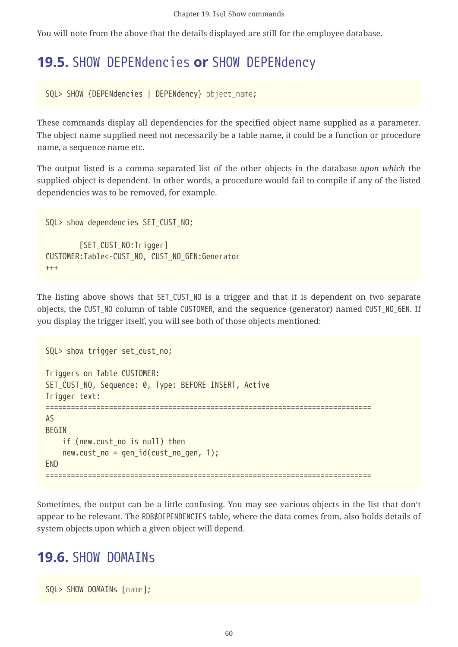You will note from the above that the details displayed are still for the employee database.

## **19.5.** SHOW DEPENdencies **or** SHOW DEPENdency

SQL> SHOW {DEPENdencies | DEPENdency} *object\_name*;

These commands display all dependencies for the specified object name supplied as a parameter. The object name supplied need not necessarily be a table name, it could be a function or procedure name, a sequence name etc.

The output listed is a comma separated list of the other objects in the database *upon which* the supplied object is dependent. In other words, a procedure would fail to compile if any of the listed dependencies was to be removed, for example.

```
SQL> show dependencies SET_CUST_NO;
          [SET_CUST_NO:Trigger]
CUSTOMER:Table<-CUST_NO, CUST_NO_GEN:Generator
+++
```
The listing above shows that SET\_CUST\_NO is a trigger and that it is dependent on two separate objects, the CUST\_NO column of table CUSTOMER, and the sequence (generator) named CUST\_NO\_GEN. If you display the trigger itself, you will see both of those objects mentioned:

```
SQL> show trigger set_cust_no;
Triggers on Table CUSTOMER:
SET_CUST_NO, Sequence: 0, Type: BEFORE INSERT, Active
Trigger text:
=============================================================================
AS
BEGIN
   if (new.cust no is null) then
    new.cust.no = gen_id(cust.no_gen, 1);FND
=============================================================================
```
Sometimes, the output can be a little confusing. You may see various objects in the list that don't appear to be relevant. The RDB\$DEPENDENCIES table, where the data comes from, also holds details of system objects upon which a given object will depend.

#### **19.6. SHOW DOMAINS**

SQL> SHOW DOMAINs [*name*];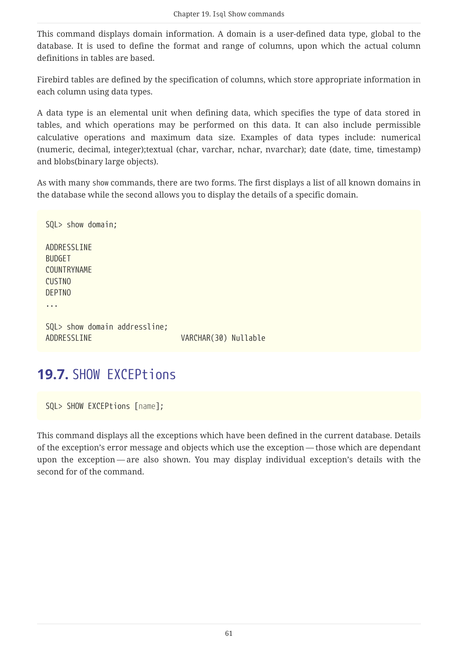This command displays domain information. A domain is a user-defined data type, global to the database. It is used to define the format and range of columns, upon which the actual column definitions in tables are based.

Firebird tables are defined by the specification of columns, which store appropriate information in each column using data types.

A data type is an elemental unit when defining data, which specifies the type of data stored in tables, and which operations may be performed on this data. It can also include permissible calculative operations and maximum data size. Examples of data types include: numerical (numeric, decimal, integer);textual (char, varchar, nchar, nvarchar); date (date, time, timestamp) and blobs(binary large objects).

As with many show commands, there are two forms. The first displays a list of all known domains in the database while the second allows you to display the details of a specific domain.

```
SQL> show domain;
ADDRESSLINE
BUDGET
COUNTRYNAME
CUSTNO
DEPTNO
...
SQL> show domain addressline;
ADDRESSLINE VARCHAR(30) Nullable
```
# **19.7.** SHOW EXCEPtions

SQL> SHOW EXCEPtions [*name*];

This command displays all the exceptions which have been defined in the current database. Details of the exception's error message and objects which use the exception — those which are dependant upon the exception — are also shown. You may display individual exception's details with the second for of the command.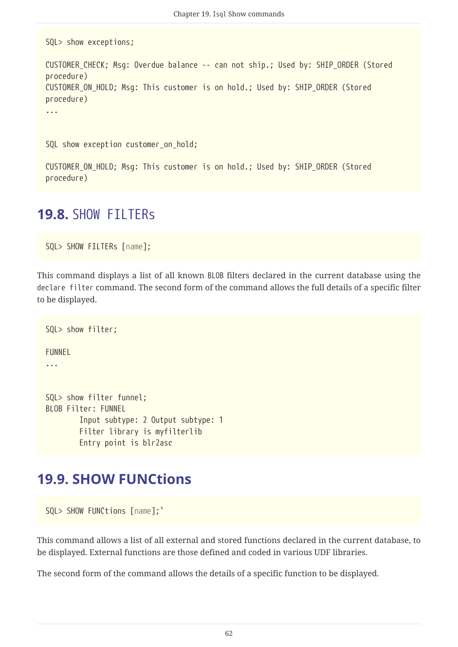SQL> show exceptions; CUSTOMER\_CHECK; Msg: Overdue balance -- can not ship.; Used by: SHIP\_ORDER (Stored procedure) CUSTOMER\_ON\_HOLD; Msg: This customer is on hold.; Used by: SHIP\_ORDER (Stored procedure) ... SQL show exception customer on hold; CUSTOMER\_ON\_HOLD; Msg: This customer is on hold.; Used by: SHIP\_ORDER (Stored procedure)

#### **19.8.** SHOW FILTERs

SQL> SHOW FILTERs [*name*];

This command displays a list of all known BLOB filters declared in the current database using the declare filter command. The second form of the command allows the full details of a specific filter to be displayed.

```
SQL> show filter;
FUNNEL
...
SQL> show filter funnel;
BLOB Filter: FUNNEL
          Input subtype: 2 Output subtype: 1
          Filter library is myfilterlib
          Entry point is blr2asc
```
#### <span id="page-62-0"></span>**19.9. SHOW FUNCtions**

SQL> SHOW FUNCtions [*name*];`

This command allows a list of all external and stored functions declared in the current database, to be displayed. External functions are those defined and coded in various UDF libraries.

The second form of the command allows the details of a specific function to be displayed.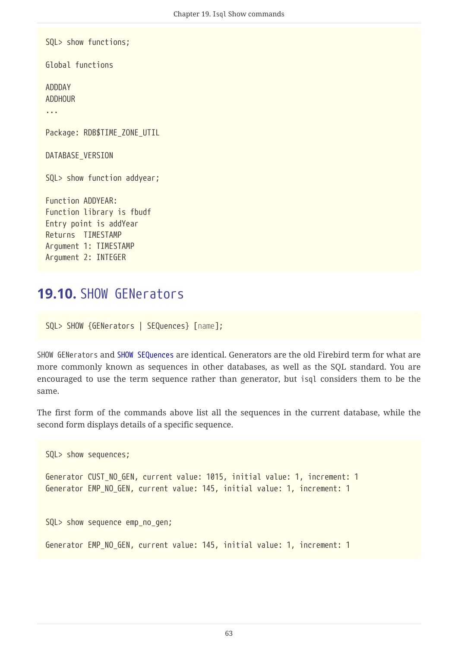SQL> show functions; Global functions ADDDAY ADDHOUR ... Package: RDB\$TIME\_ZONE\_UTIL DATABASE\_VERSION SQL> show function addyear; Function ADDYEAR: Function library is fbudf Entry point is addYear Returns TIMESTAMP Argument 1: TIMESTAMP Argument 2: INTEGER

#### <span id="page-63-0"></span>**19.10.** SHOW GENerators

SQL> SHOW {GENerators | SEQuences} [*name*];

SHOW GENerators and [SHOW SEQuences](#page-68-0) are identical. Generators are the old Firebird term for what are more commonly known as sequences in other databases, as well as the SQL standard. You are encouraged to use the term sequence rather than generator, but isql considers them to be the same.

The first form of the commands above list all the sequences in the current database, while the second form displays details of a specific sequence.

```
SQL> show sequences;
Generator CUST_NO_GEN, current value: 1015, initial value: 1, increment: 1
Generator EMP_NO_GEN, current value: 145, initial value: 1, increment: 1
SQL> show sequence emp_no_gen;
Generator EMP_NO_GEN, current value: 145, initial value: 1, increment: 1
```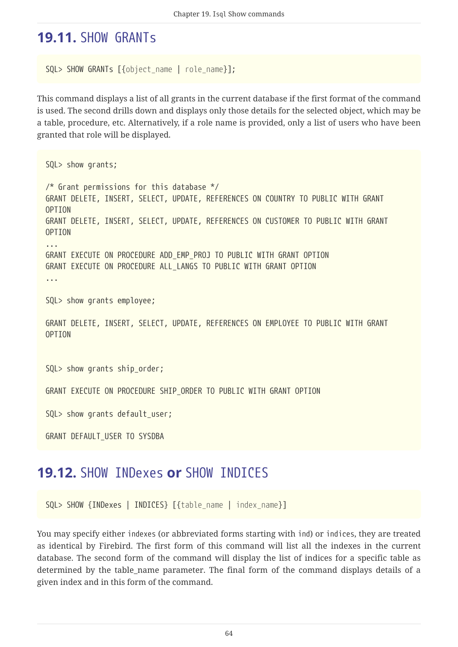## **19.11.** SHOW GRANTs

```
SQL> SHOW GRANTs [{object_name | role_name}];
```
This command displays a list of all grants in the current database if the first format of the command is used. The second drills down and displays only those details for the selected object, which may be a table, procedure, etc. Alternatively, if a role name is provided, only a list of users who have been granted that role will be displayed.

```
SQL> show grants;
/* Grant permissions for this database */
GRANT DELETE, INSERT, SELECT, UPDATE, REFERENCES ON COUNTRY TO PUBLIC WITH GRANT
OPTION
GRANT DELETE, INSERT, SELECT, UPDATE, REFERENCES ON CUSTOMER TO PUBLIC WITH GRANT
OPTION
...
GRANT EXECUTE ON PROCEDURE ADD_EMP_PROJ TO PUBLIC WITH GRANT OPTION
GRANT EXECUTE ON PROCEDURE ALL_LANGS TO PUBLIC WITH GRANT OPTION
...
SQL> show grants employee;
GRANT DELETE, INSERT, SELECT, UPDATE, REFERENCES ON EMPLOYEE TO PUBLIC WITH GRANT
OPTION
SQL> show grants ship_order;
GRANT EXECUTE ON PROCEDURE SHIP ORDER TO PUBLIC WITH GRANT OPTION
SQL> show grants default user;
GRANT DEFAULT_USER TO SYSDBA
```
#### **19.12.** SHOW INDexes **or** SHOW INDICES

SQL> SHOW {INDexes | INDICES} [{*table\_name* | *index\_name*}]

You may specify either indexes (or abbreviated forms starting with ind) or indices, they are treated as identical by Firebird. The first form of this command will list all the indexes in the current database. The second form of the command will display the list of indices for a specific table as determined by the table\_name parameter. The final form of the command displays details of a given index and in this form of the command.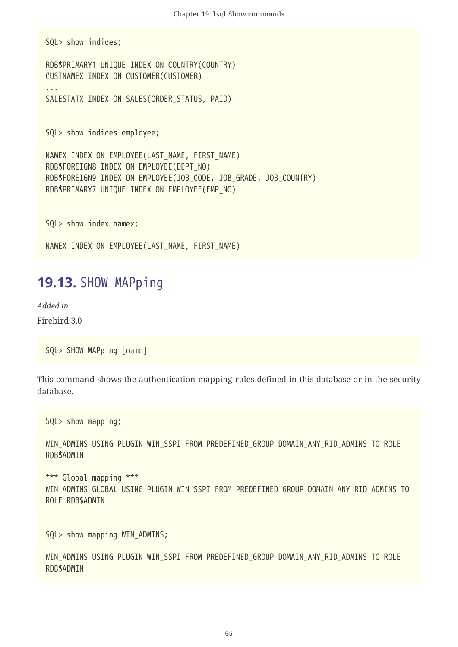SQL> show indices;

...

RDB\$PRIMARY1 UNIQUE INDEX ON COUNTRY(COUNTRY) CUSTNAMEX INDEX ON CUSTOMER(CUSTOMER)

```
SALESTATX INDEX ON SALES(ORDER STATUS, PAID)
```
SQL> show indices employee;

NAMEX INDEX ON EMPLOYEE(LAST\_NAME, FIRST\_NAME) RDB\$FOREIGN8 INDEX ON EMPLOYEE(DEPT\_NO) RDB\$FOREIGN9 INDEX ON EMPLOYEE(JOB\_CODE, JOB\_GRADE, JOB\_COUNTRY) RDB\$PRIMARY7 UNIQUE INDEX ON EMPLOYEE(EMP\_NO)

SQL> show index namex;

NAMEX INDEX ON EMPLOYEE(LAST NAME, FIRST NAME)

#### **19.13.** SHOW MAPping

*Added in* Firebird 3.0

SQL> SHOW MAPping [*name*]

This command shows the authentication mapping rules defined in this database or in the security database.

SQL> show mapping;

WIN ADMINS USING PLUGIN WIN SSPI FROM PREDEFINED GROUP DOMAIN ANY RID ADMINS TO ROLE RDB\$ADMIN

\*\*\* Global mapping \*\*\* WIN ADMINS GLOBAL USING PLUGIN WIN SSPI FROM PREDEFINED GROUP DOMAIN ANY RID ADMINS TO ROLE RDB\$ADMIN

SQL> show mapping WIN ADMINS;

WIN ADMINS USING PLUGIN WIN SSPI FROM PREDEFINED GROUP DOMAIN ANY RID ADMINS TO ROLE RDB\$ADMIN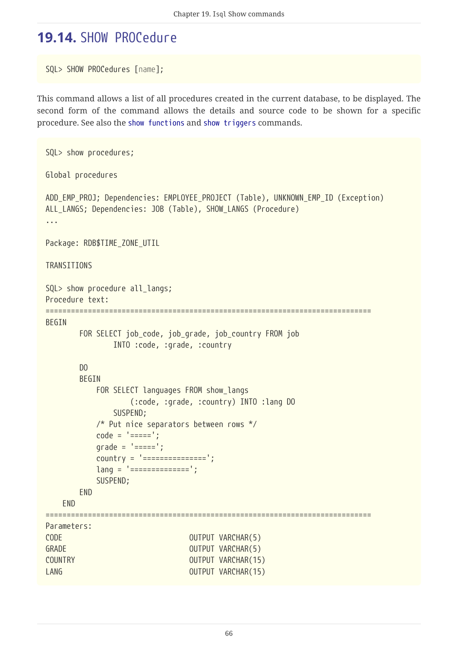## **19.14.** SHOW PROCedure

SQL> SHOW PROCedures [*name*];

This command allows a list of all procedures created in the current database, to be displayed. The second form of the command allows the details and source code to be shown for a specific procedure. See also the [show functions](#page-62-0) and [show triggers](#page-72-0) commands.

```
SQL> show procedures;
Global procedures
ADD EMP PROJ; Dependencies: EMPLOYEE PROJECT (Table), UNKNOWN EMP ID (Exception)
ALL_LANGS; Dependencies: JOB (Table), SHOW_LANGS (Procedure)
...
Package: RDB$TIME_ZONE_UTIL
TRANSITIONS
SQL> show procedure all_langs;
Procedure text:
=============================================================================
BEGIN
       FOR SELECT job code, job grade, job country FROM job
                 INTO :code, :grade, :country
         DO
         BEGIN
             FOR SELECT languages FROM show_langs
                     (:code, :grade, :country) INTO :lang DO
                 SUSPEND;
             /* Put nice separators between rows */
           code = '-----';q\text{rade} = '==='';country = '================';
             lang = '==============';
             SUSPEND;
         END
      END
=============================================================================
Parameters:
CODE OUTPUT VARCHAR(5)
GRADE GRADE OUTPUT VARCHAR(5)
COUNTRY COUNTRY COUNTRY
LANG CONTROLLANG CONTROLLANG CONTROLLANG CONTROLLANG CONTROLLANG
```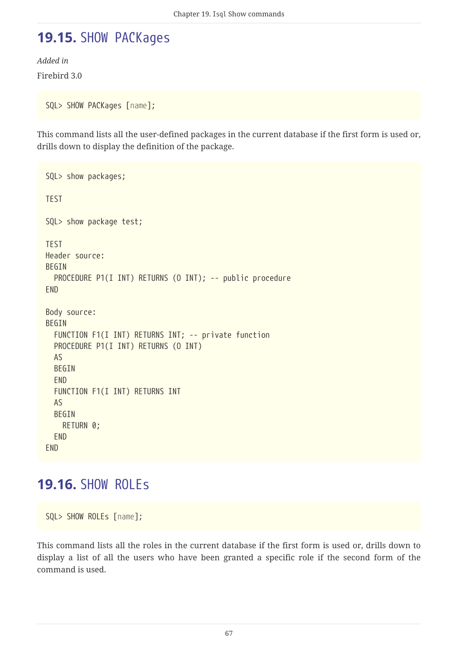# **19.15.** SHOW PACKages

*Added in* Firebird 3.0

SQL> SHOW PACKages [*name*];

This command lists all the user-defined packages in the current database if the first form is used or, drills down to display the definition of the package.

```
SQL> show packages;
TEST
SQL> show package test;
TEST
Header source:
BEGIN
  PROCEDURE P1(I INT) RETURNS (O INT); -- public procedure
END
Body source:
BEGIN
    FUNCTION F1(I INT) RETURNS INT; -- private function
    PROCEDURE P1(I INT) RETURNS (O INT)
    AS
    BEGIN
    END
    FUNCTION F1(I INT) RETURNS INT
    AS
    BEGIN
      RETURN 0;
    END
END
```
#### **19.16.** SHOW ROLEs

SQL> SHOW ROLEs [*name*];

This command lists all the roles in the current database if the first form is used or, drills down to display a list of all the users who have been granted a specific role if the second form of the command is used.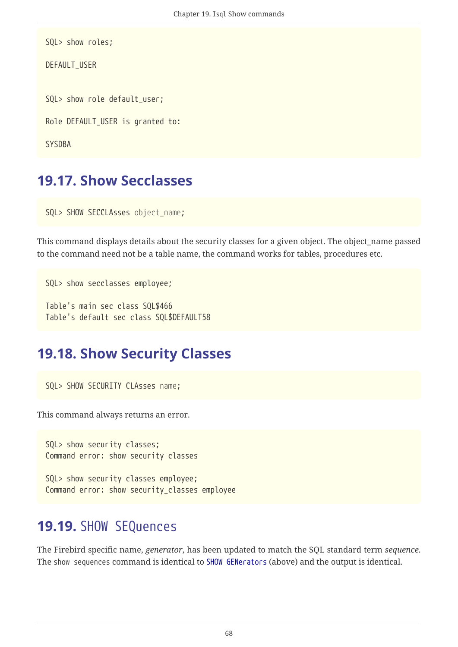```
SQL> show roles;
DEFAULT_USER
SQL> show role default_user;
Role DEFAULT_USER is granted to:
SYSDBA
```
#### **19.17. Show Secclasses**

SQL> SHOW SECCLAsses *object\_name*;

This command displays details about the security classes for a given object. The object name passed to the command need not be a table name, the command works for tables, procedures etc.

```
SQL> show secclasses employee;
```
Table's main sec class SQL\$466 Table's default sec class SQL\$DEFAULT58

#### **19.18. Show Security Classes**

SQL> SHOW SECURITY CLAsses *name*;

This command always returns an error.

SQL> show security classes; Command error: show security classes

SQL> show security classes employee; Command error: show security\_classes employee

#### <span id="page-68-0"></span>**19.19.** SHOW SEQuences

The Firebird specific name, *generator*, has been updated to match the SQL standard term *sequence*. The show sequences command is identical to [SHOW GENerators](#page-63-0) (above) and the output is identical.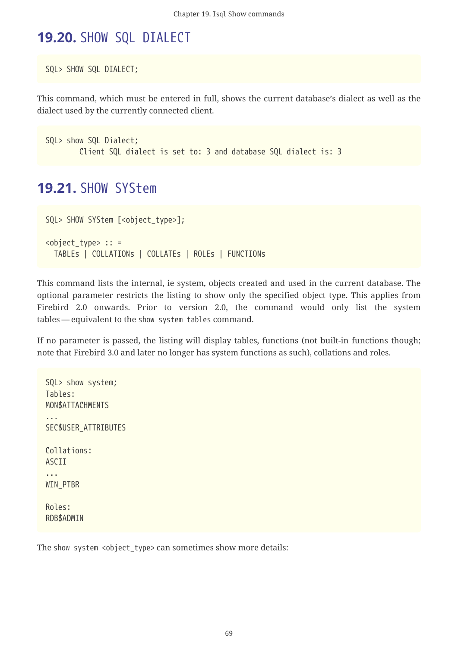## **19.20.** SHOW SQL DIALECT

```
SQL> SHOW SQL DIALECT;
```
This command, which must be entered in full, shows the current database's dialect as well as the dialect used by the currently connected client.

```
SQL> show SQL Dialect;
          Client SQL dialect is set to: 3 and database SQL dialect is: 3
```
#### **19.21.** SHOW SYStem

```
SQL> SHOW SYStem [<object_type>];
<object_type> :: =
   TABLEs | COLLATIONs | COLLATEs | ROLEs | FUNCTIONs
```
This command lists the internal, ie system, objects created and used in the current database. The optional parameter restricts the listing to show only the specified object type. This applies from Firebird 2.0 onwards. Prior to version 2.0, the command would only list the system tables — equivalent to the show system tables command.

If no parameter is passed, the listing will display tables, functions (not built-in functions though; note that Firebird 3.0 and later no longer has system functions as such), collations and roles.

SQL> show system; Tables: MON\$ATTACHMENTS ... SEC\$USER\_ATTRIBUTES Collations: ASCII ... WIN PTBR Roles: RDB\$ADMIN

The show system <object\_type> can sometimes show more details: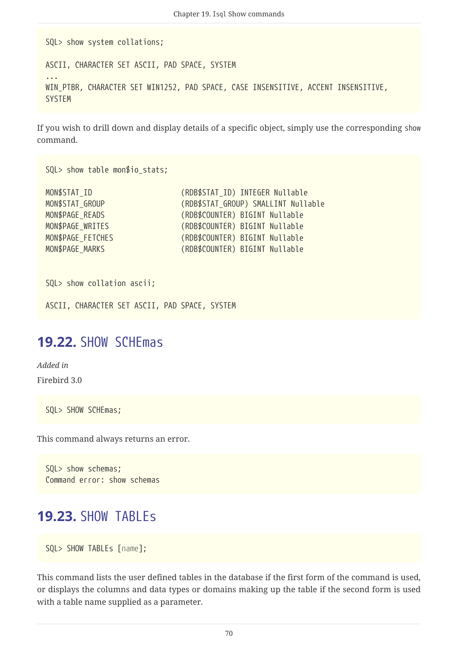SQL> show system collations;

...

ASCII, CHARACTER SET ASCII, PAD SPACE, SYSTEM

WIN\_PTBR, CHARACTER SET WIN1252, PAD SPACE, CASE INSENSITIVE, ACCENT INSENSITIVE, **SYSTEM** 

If you wish to drill down and display details of a specific object, simply use the corresponding show command.

SQL> show table mon\$io\_stats;

| (RDB\$STAT GROUP) SMALLINT Nullable |
|-------------------------------------|
|                                     |
|                                     |
|                                     |
|                                     |
|                                     |

SQL> show collation ascii;

ASCII, CHARACTER SET ASCII, PAD SPACE, SYSTEM

#### **19.22.** SHOW SCHEmas

*Added in* Firebird 3.0

SQL> SHOW SCHEmas;

This command always returns an error.

```
SQL> show schemas;
Command error: show schemas
```
#### **19.23.** SHOW TABLEs

```
SQL> SHOW TABLEs [name];
```
This command lists the user defined tables in the database if the first form of the command is used, or displays the columns and data types or domains making up the table if the second form is used with a table name supplied as a parameter.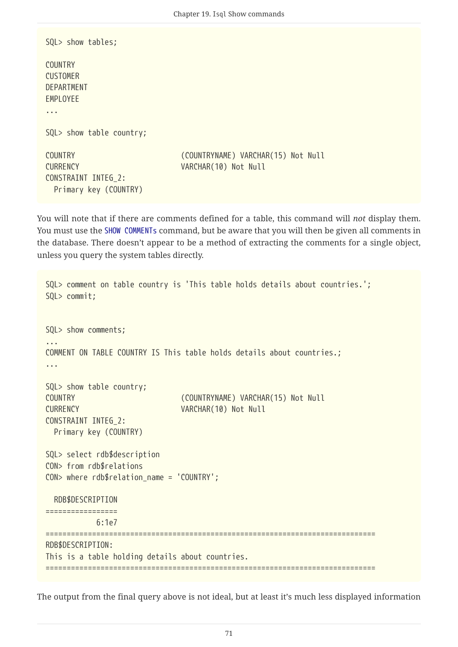```
SQL> show tables;
COUNTRY
CUSTOMER
DEPARTMENT
EMPLOYEE
...
SQL> show table country;
COUNTRY (COUNTRYNAME) VARCHAR(15) Not Null
CURRENCY VARCHAR(10) Not Null
CONSTRAINT INTEG_2:
   Primary key (COUNTRY)
```
You will note that if there are comments defined for a table, this command will *not* display them. You must use the [SHOW COMMENTs](#page-58-0) command, but be aware that you will then be given all comments in the database. There doesn't appear to be a method of extracting the comments for a single object, unless you query the system tables directly.

```
SQL> comment on table country is 'This table holds details about countries.';
SQL> commit;
SQL> show comments;
...
COMMENT ON TABLE COUNTRY IS This table holds details about countries.;
...
SQL> show table country;
COUNTRY (COUNTRYNAME) VARCHAR(15) Not Null
CURRENCY VARCHAR(10) Not Null
CONSTRAINT INTEG_2:
   Primary key (COUNTRY)
SQL> select rdb$description
CON> from rdb$relations
CON> where rdb$relation_name = 'COUNTRY';
   RDB$DESCRIPTION
=================
             6:1e7
==============================================================================
RDB$DESCRIPTION:
This is a table holding details about countries.
==============================================================================
```
The output from the final query above is not ideal, but at least it's much less displayed information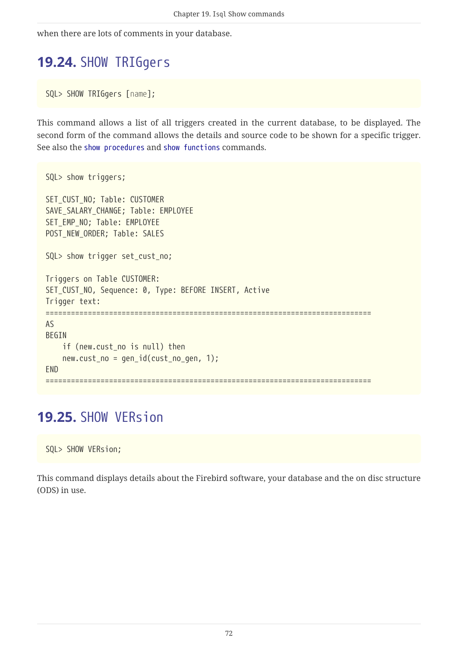when there are lots of comments in your database.

## **19.24.** SHOW TRIGgers

SQL> SHOW TRIGgers [*name*];

This command allows a list of all triggers created in the current database, to be displayed. The second form of the command allows the details and source code to be shown for a specific trigger. See also the [show procedures](#page-66-0) and [show functions](#page-62-0) commands.

```
SQL> show triggers;
SET CUST NO; Table: CUSTOMER
SAVE_SALARY_CHANGE; Table: EMPLOYEE
SET_EMP_NO; Table: EMPLOYEE
POST_NEW_ORDER; Table: SALES
SQL> show trigger set_cust_no;
Triggers on Table CUSTOMER:
SET_CUST_NO, Sequence: 0, Type: BEFORE INSERT, Active
Trigger text:
=============================================================================
AS
BEGIN
      if (new.cust_no is null) then
    new.cust.no = gen_id(cust.no_gen, 1);FND
=============================================================================
```
## **19.25.** SHOW VERsion

SQL> SHOW VERsion;

This command displays details about the Firebird software, your database and the on disc structure (ODS) in use.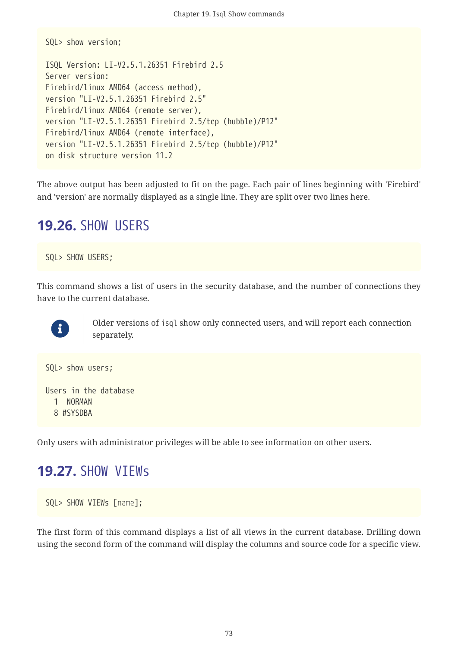```
SQL> show version;
ISQL Version: LI-V2.5.1.26351 Firebird 2.5
Server version:
Firebird/linux AMD64 (access method),
version "LI-V2.5.1.26351 Firebird 2.5"
Firebird/linux AMD64 (remote server),
version "LI-V2.5.1.26351 Firebird 2.5/tcp (hubble)/P12"
Firebird/linux AMD64 (remote interface),
version "LI-V2.5.1.26351 Firebird 2.5/tcp (hubble)/P12"
on disk structure version 11.2
```
The above output has been adjusted to fit on the page. Each pair of lines beginning with 'Firebird' and 'version' are normally displayed as a single line. They are split over two lines here.

## **19.26.** SHOW USERS

SQL> SHOW USERS;

This command shows a list of users in the security database, and the number of connections they have to the current database.



Older versions of isql show only connected users, and will report each connection separately.

```
SQL> show users;
Users in the database
    1 NORMAN
    8 #SYSDBA
```
Only users with administrator privileges will be able to see information on other users.

## **19.27.** SHOW VIEWs

```
SQL> SHOW VIEWs [name];
```
The first form of this command displays a list of all views in the current database. Drilling down using the second form of the command will display the columns and source code for a specific view.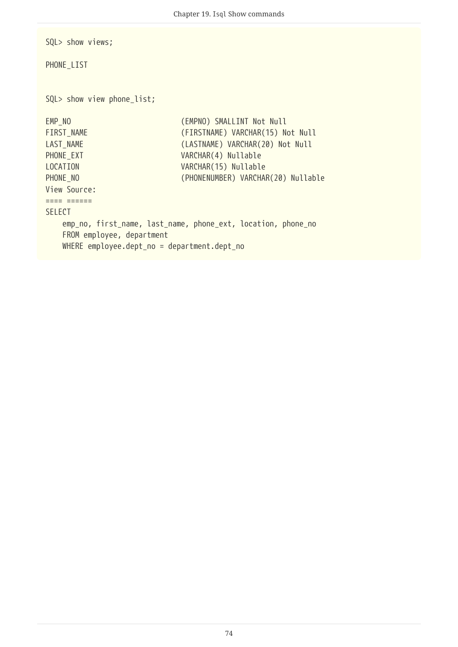SQL> show views;

PHONE\_LIST

SQL> show view phone\_list;

EMP\_NO (EMPNO) SMALLINT Not Null FIRST\_NAME (FIRSTNAME) VARCHAR(15) Not Null LAST NAME (LASTNAME) VARCHAR(20) Not Null PHONE\_EXT VARCHAR(4) Nullable LOCATION VARCHAR(15) Nullable PHONE\_NO (PHONENUMBER) VARCHAR(20) Nullable View Source: ==== ====== SELECT emp\_no, first\_name, last\_name, phone\_ext, location, phone\_no FROM employee, department WHERE employee.dept\_no = department.dept\_no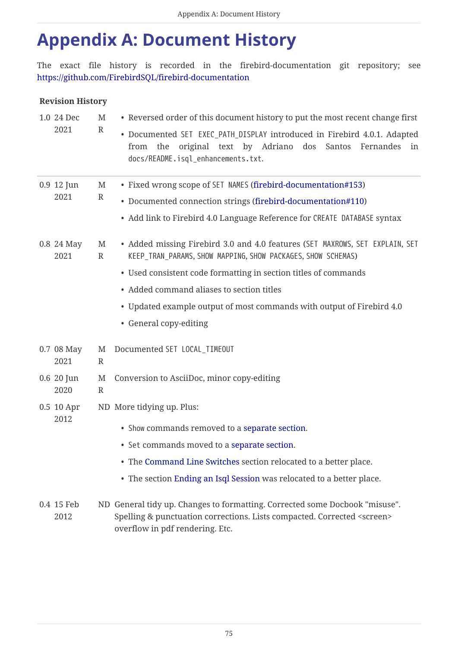## <span id="page-75-0"></span>**Appendix A: Document History**

The exact file history is recorded in the firebird-documentation git repository; see <https://github.com/FirebirdSQL/firebird-documentation>

### **Revision History**

|  | 1.0 24 Dec<br>2021 | M<br>$\mathbb{R}$ | • Reversed order of this document history to put the most recent change first                                                                                                                                                                                                                                                                                   |
|--|--------------------|-------------------|-----------------------------------------------------------------------------------------------------------------------------------------------------------------------------------------------------------------------------------------------------------------------------------------------------------------------------------------------------------------|
|  |                    |                   | • Documented SET EXEC_PATH_DISPLAY introduced in Firebird 4.0.1. Adapted<br>from the original text by Adriano dos Santos Fernandes in<br>docs/README.isql_enhancements.txt.                                                                                                                                                                                     |
|  | 0.9 12 Jun<br>2021 | M<br>$\mathbb{R}$ | • Fixed wrong scope of SET NAMES (firebird-documentation#153)<br>• Documented connection strings (firebird-documentation#110)<br>• Add link to Firebird 4.0 Language Reference for CREATE DATABASE syntax                                                                                                                                                       |
|  | 0.8 24 May<br>2021 | M<br>$\mathbb{R}$ | • Added missing Firebird 3.0 and 4.0 features (SET MAXROWS, SET EXPLAIN, SET<br>KEEP_TRAN_PARAMS, SHOW MAPPING, SHOW PACKAGES, SHOW SCHEMAS)<br>• Used consistent code formatting in section titles of commands<br>• Added command aliases to section titles<br>• Updated example output of most commands with output of Firebird 4.0<br>• General copy-editing |
|  | 0.7 08 May<br>2021 | M<br>$\mathbb{R}$ | Documented SET LOCAL_TIMEOUT                                                                                                                                                                                                                                                                                                                                    |
|  | 0.6 20 Jun<br>2020 | M<br>$\mathbb{R}$ | Conversion to AsciiDoc, minor copy-editing                                                                                                                                                                                                                                                                                                                      |
|  | 0.5 10 Apr<br>2012 |                   | ND More tidying up. Plus:<br>• Show commands removed to a separate section.                                                                                                                                                                                                                                                                                     |
|  |                    |                   | • Set commands moved to a separate section.                                                                                                                                                                                                                                                                                                                     |
|  |                    |                   | • The Command Line Switches section relocated to a better place.                                                                                                                                                                                                                                                                                                |
|  |                    |                   | • The section Ending an Isql Session was relocated to a better place.                                                                                                                                                                                                                                                                                           |
|  | 0.4 15 Feb<br>2012 |                   | ND General tidy up. Changes to formatting. Corrected some Docbook "misuse".<br>Spelling & punctuation corrections. Lists compacted. Corrected <screen><br/>overflow in pdf rendering. Etc.</screen>                                                                                                                                                             |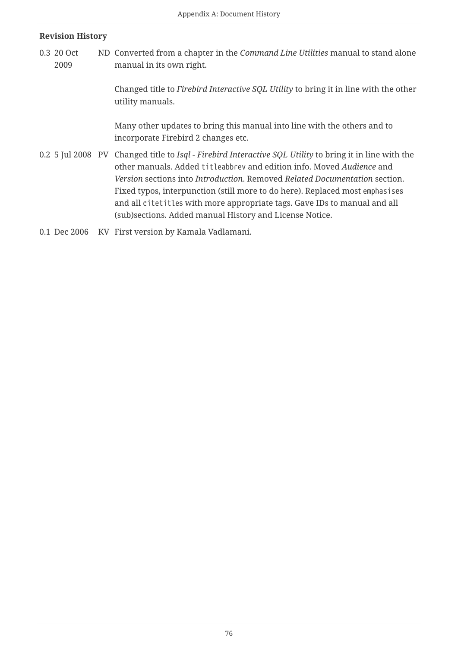#### **Revision History**

0.3 20 Oct 2009 ND Converted from a chapter in the *Command Line Utilities* manual to stand alone manual in its own right.

> Changed title to *Firebird Interactive SQL Utility* to bring it in line with the other utility manuals.

Many other updates to bring this manual into line with the others and to incorporate Firebird 2 changes etc.

- 0.2 5 Jul 2008 PV Changed title to *Isql Firebird Interactive SQL Utility* to bring it in line with the other manuals. Added titleabbrev and edition info. Moved *Audience* and *Version* sections into *Introduction*. Removed *Related Documentation* section. Fixed typos, interpunction (still more to do here). Replaced most emphasises and all citetitles with more appropriate tags. Gave IDs to manual and all (sub)sections. Added manual History and License Notice.
- 0.1 Dec 2006 KV First version by Kamala Vadlamani.